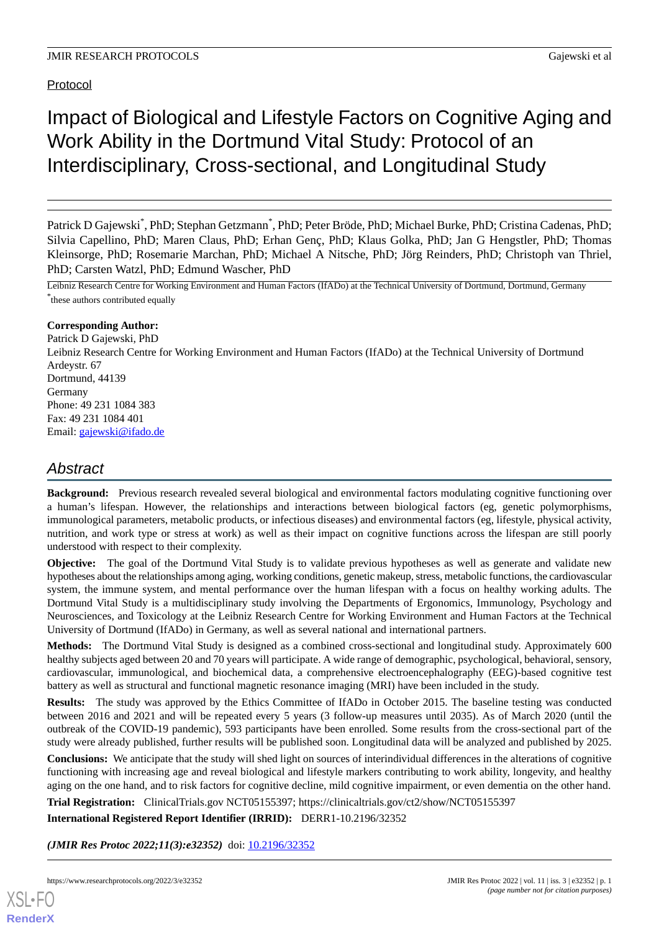Protocol

# Impact of Biological and Lifestyle Factors on Cognitive Aging and Work Ability in the Dortmund Vital Study: Protocol of an Interdisciplinary, Cross-sectional, and Longitudinal Study

Patrick D Gajewski<sup>\*</sup>, PhD; Stephan Getzmann<sup>\*</sup>, PhD; Peter Bröde, PhD; Michael Burke, PhD; Cristina Cadenas, PhD; Silvia Capellino, PhD; Maren Claus, PhD; Erhan Genç, PhD; Klaus Golka, PhD; Jan G Hengstler, PhD; Thomas Kleinsorge, PhD; Rosemarie Marchan, PhD; Michael A Nitsche, PhD; Jörg Reinders, PhD; Christoph van Thriel, PhD; Carsten Watzl, PhD; Edmund Wascher, PhD

Leibniz Research Centre for Working Environment and Human Factors (IfADo) at the Technical University of Dortmund, Dortmund, Germany \* these authors contributed equally

## **Corresponding Author:**

Patrick D Gajewski, PhD Leibniz Research Centre for Working Environment and Human Factors (IfADo) at the Technical University of Dortmund Ardeystr. 67 Dortmund, 44139 Germany Phone: 49 231 1084 383 Fax: 49 231 1084 401 Email: [gajewski@ifado.de](mailto:gajewski@ifado.de)

# *Abstract*

**Background:** Previous research revealed several biological and environmental factors modulating cognitive functioning over a human's lifespan. However, the relationships and interactions between biological factors (eg, genetic polymorphisms, immunological parameters, metabolic products, or infectious diseases) and environmental factors (eg, lifestyle, physical activity, nutrition, and work type or stress at work) as well as their impact on cognitive functions across the lifespan are still poorly understood with respect to their complexity.

**Objective:** The goal of the Dortmund Vital Study is to validate previous hypotheses as well as generate and validate new hypotheses about the relationships among aging, working conditions, genetic makeup, stress, metabolic functions, the cardiovascular system, the immune system, and mental performance over the human lifespan with a focus on healthy working adults. The Dortmund Vital Study is a multidisciplinary study involving the Departments of Ergonomics, Immunology, Psychology and Neurosciences, and Toxicology at the Leibniz Research Centre for Working Environment and Human Factors at the Technical University of Dortmund (IfADo) in Germany, as well as several national and international partners.

**Methods:** The Dortmund Vital Study is designed as a combined cross-sectional and longitudinal study. Approximately 600 healthy subjects aged between 20 and 70 years will participate. A wide range of demographic, psychological, behavioral, sensory, cardiovascular, immunological, and biochemical data, a comprehensive electroencephalography (EEG)-based cognitive test battery as well as structural and functional magnetic resonance imaging (MRI) have been included in the study.

**Results:** The study was approved by the Ethics Committee of IfADo in October 2015. The baseline testing was conducted between 2016 and 2021 and will be repeated every 5 years (3 follow-up measures until 2035). As of March 2020 (until the outbreak of the COVID-19 pandemic), 593 participants have been enrolled. Some results from the cross-sectional part of the study were already published, further results will be published soon. Longitudinal data will be analyzed and published by 2025.

**Conclusions:** We anticipate that the study will shed light on sources of interindividual differences in the alterations of cognitive functioning with increasing age and reveal biological and lifestyle markers contributing to work ability, longevity, and healthy aging on the one hand, and to risk factors for cognitive decline, mild cognitive impairment, or even dementia on the other hand.

**Trial Registration:** ClinicalTrials.gov NCT05155397; https://clinicaltrials.gov/ct2/show/NCT05155397

**International Registered Report Identifier (IRRID):** DERR1-10.2196/32352

(JMIR Res Protoc 2022;11(3):e32352) doi: [10.2196/32352](http://dx.doi.org/10.2196/32352)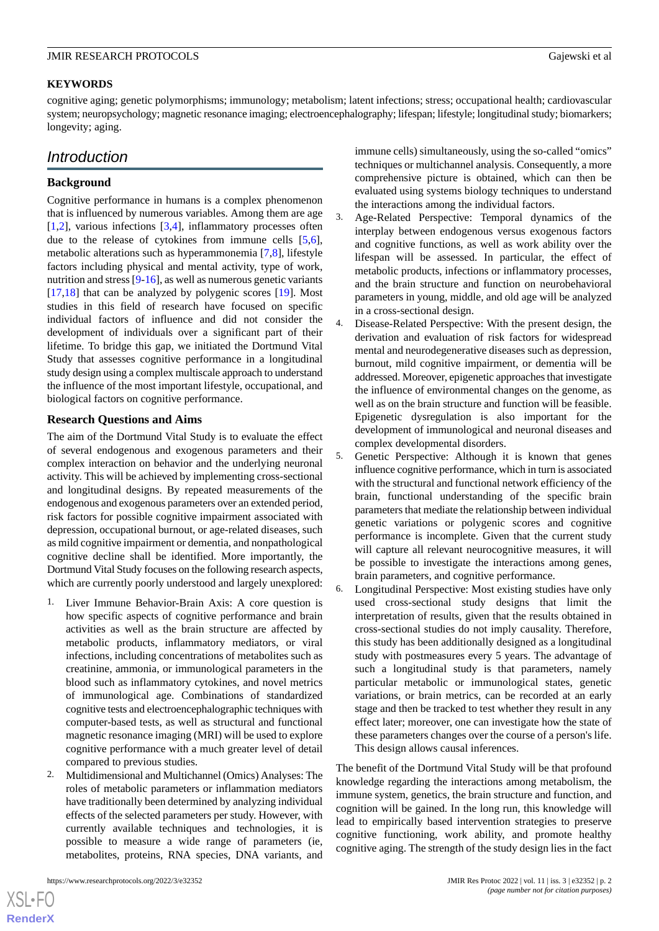## **KEYWORDS**

cognitive aging; genetic polymorphisms; immunology; metabolism; latent infections; stress; occupational health; cardiovascular system; neuropsychology; magnetic resonance imaging; electroencephalography; lifespan; lifestyle; longitudinal study; biomarkers; longevity; aging.

## *Introduction*

## **Background**

Cognitive performance in humans is a complex phenomenon that is influenced by numerous variables. Among them are age [[1](#page-11-0)[,2](#page-11-1)], various infections [\[3](#page-11-2),[4\]](#page-11-3), inflammatory processes often due to the release of cytokines from immune cells [\[5](#page-11-4),[6\]](#page-11-5), metabolic alterations such as hyperammonemia [\[7,](#page-12-0)[8](#page-12-1)], lifestyle factors including physical and mental activity, type of work, nutrition and stress [[9-](#page-12-2)[16\]](#page-12-3), as well as numerous genetic variants [[17](#page-12-4)[,18](#page-12-5)] that can be analyzed by polygenic scores [[19\]](#page-12-6). Most studies in this field of research have focused on specific individual factors of influence and did not consider the development of individuals over a significant part of their lifetime. To bridge this gap, we initiated the Dortmund Vital Study that assesses cognitive performance in a longitudinal study design using a complex multiscale approach to understand the influence of the most important lifestyle, occupational, and biological factors on cognitive performance.

## **Research Questions and Aims**

The aim of the Dortmund Vital Study is to evaluate the effect of several endogenous and exogenous parameters and their complex interaction on behavior and the underlying neuronal activity. This will be achieved by implementing cross-sectional and longitudinal designs. By repeated measurements of the endogenous and exogenous parameters over an extended period, risk factors for possible cognitive impairment associated with depression, occupational burnout, or age-related diseases, such as mild cognitive impairment or dementia, and nonpathological cognitive decline shall be identified. More importantly, the Dortmund Vital Study focuses on the following research aspects, which are currently poorly understood and largely unexplored:

- 1. Liver Immune Behavior-Brain Axis: A core question is how specific aspects of cognitive performance and brain activities as well as the brain structure are affected by metabolic products, inflammatory mediators, or viral infections, including concentrations of metabolites such as creatinine, ammonia, or immunological parameters in the blood such as inflammatory cytokines, and novel metrics of immunological age. Combinations of standardized cognitive tests and electroencephalographic techniques with computer-based tests, as well as structural and functional magnetic resonance imaging (MRI) will be used to explore cognitive performance with a much greater level of detail compared to previous studies.
- 2. Multidimensional and Multichannel (Omics) Analyses: The roles of metabolic parameters or inflammation mediators have traditionally been determined by analyzing individual effects of the selected parameters per study. However, with currently available techniques and technologies, it is possible to measure a wide range of parameters (ie, metabolites, proteins, RNA species, DNA variants, and

[XSL](http://www.w3.org/Style/XSL)•FO **[RenderX](http://www.renderx.com/)** immune cells) simultaneously, using the so-called "omics" techniques or multichannel analysis. Consequently, a more comprehensive picture is obtained, which can then be evaluated using systems biology techniques to understand the interactions among the individual factors.

- 3. Age-Related Perspective: Temporal dynamics of the interplay between endogenous versus exogenous factors and cognitive functions, as well as work ability over the lifespan will be assessed. In particular, the effect of metabolic products, infections or inflammatory processes, and the brain structure and function on neurobehavioral parameters in young, middle, and old age will be analyzed in a cross-sectional design.
- 4. Disease-Related Perspective: With the present design, the derivation and evaluation of risk factors for widespread mental and neurodegenerative diseases such as depression, burnout, mild cognitive impairment, or dementia will be addressed. Moreover, epigenetic approaches that investigate the influence of environmental changes on the genome, as well as on the brain structure and function will be feasible. Epigenetic dysregulation is also important for the development of immunological and neuronal diseases and complex developmental disorders.
- 5. Genetic Perspective: Although it is known that genes influence cognitive performance, which in turn is associated with the structural and functional network efficiency of the brain, functional understanding of the specific brain parameters that mediate the relationship between individual genetic variations or polygenic scores and cognitive performance is incomplete. Given that the current study will capture all relevant neurocognitive measures, it will be possible to investigate the interactions among genes, brain parameters, and cognitive performance.
- 6. Longitudinal Perspective: Most existing studies have only used cross-sectional study designs that limit the interpretation of results, given that the results obtained in cross-sectional studies do not imply causality. Therefore, this study has been additionally designed as a longitudinal study with postmeasures every 5 years. The advantage of such a longitudinal study is that parameters, namely particular metabolic or immunological states, genetic variations, or brain metrics, can be recorded at an early stage and then be tracked to test whether they result in any effect later; moreover, one can investigate how the state of these parameters changes over the course of a person's life. This design allows causal inferences.

The benefit of the Dortmund Vital Study will be that profound knowledge regarding the interactions among metabolism, the immune system, genetics, the brain structure and function, and cognition will be gained. In the long run, this knowledge will lead to empirically based intervention strategies to preserve cognitive functioning, work ability, and promote healthy cognitive aging. The strength of the study design lies in the fact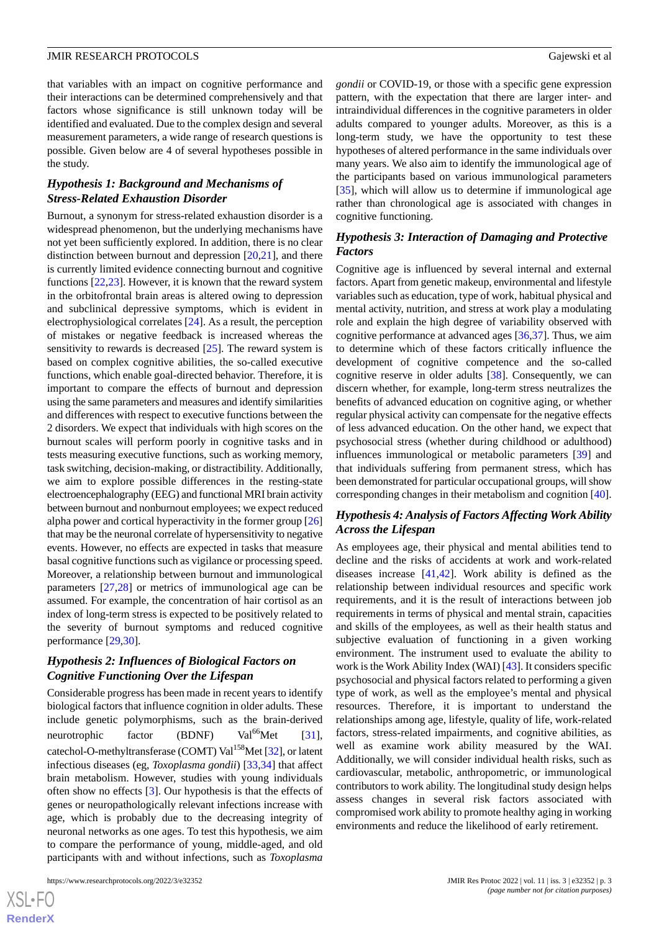that variables with an impact on cognitive performance and their interactions can be determined comprehensively and that factors whose significance is still unknown today will be identified and evaluated. Due to the complex design and several measurement parameters, a wide range of research questions is possible. Given below are 4 of several hypotheses possible in the study.

## *Hypothesis 1: Background and Mechanisms of Stress-Related Exhaustion Disorder*

Burnout, a synonym for stress-related exhaustion disorder is a widespread phenomenon, but the underlying mechanisms have not yet been sufficiently explored. In addition, there is no clear distinction between burnout and depression [\[20](#page-12-7),[21\]](#page-12-8), and there is currently limited evidence connecting burnout and cognitive functions [\[22](#page-12-9),[23\]](#page-12-10). However, it is known that the reward system in the orbitofrontal brain areas is altered owing to depression and subclinical depressive symptoms, which is evident in electrophysiological correlates [\[24](#page-12-11)]. As a result, the perception of mistakes or negative feedback is increased whereas the sensitivity to rewards is decreased [[25\]](#page-12-12). The reward system is based on complex cognitive abilities, the so-called executive functions, which enable goal-directed behavior. Therefore, it is important to compare the effects of burnout and depression using the same parameters and measures and identify similarities and differences with respect to executive functions between the 2 disorders. We expect that individuals with high scores on the burnout scales will perform poorly in cognitive tasks and in tests measuring executive functions, such as working memory, task switching, decision-making, or distractibility. Additionally, we aim to explore possible differences in the resting-state electroencephalography (EEG) and functional MRI brain activity between burnout and nonburnout employees; we expect reduced alpha power and cortical hyperactivity in the former group [\[26](#page-12-13)] that may be the neuronal correlate of hypersensitivity to negative events. However, no effects are expected in tasks that measure basal cognitive functions such as vigilance or processing speed. Moreover, a relationship between burnout and immunological parameters [[27,](#page-12-14)[28](#page-12-15)] or metrics of immunological age can be assumed. For example, the concentration of hair cortisol as an index of long-term stress is expected to be positively related to the severity of burnout symptoms and reduced cognitive performance [[29](#page-12-16)[,30](#page-13-0)].

## *Hypothesis 2: Influences of Biological Factors on Cognitive Functioning Over the Lifespan*

Considerable progress has been made in recent years to identify biological factors that influence cognition in older adults. These include genetic polymorphisms, such as the brain-derived neurotrophic factor (BDNF)  $Val^{66}Met$  [[31\]](#page-13-1), catechol-O-methyltransferase (COMT) Val<sup>158</sup>Met [\[32](#page-13-2)], or latent infectious diseases (eg, *Toxoplasma gondii*) [\[33](#page-13-3),[34\]](#page-13-4) that affect brain metabolism. However, studies with young individuals often show no effects [[3\]](#page-11-2). Our hypothesis is that the effects of genes or neuropathologically relevant infections increase with age, which is probably due to the decreasing integrity of neuronal networks as one ages. To test this hypothesis, we aim to compare the performance of young, middle-aged, and old participants with and without infections, such as *Toxoplasma*

*gondii* or COVID-19, or those with a specific gene expression pattern, with the expectation that there are larger inter- and intraindividual differences in the cognitive parameters in older adults compared to younger adults. Moreover, as this is a long-term study, we have the opportunity to test these hypotheses of altered performance in the same individuals over many years. We also aim to identify the immunological age of the participants based on various immunological parameters [[35\]](#page-13-5), which will allow us to determine if immunological age rather than chronological age is associated with changes in cognitive functioning.

## *Hypothesis 3: Interaction of Damaging and Protective Factors*

Cognitive age is influenced by several internal and external factors. Apart from genetic makeup, environmental and lifestyle variables such as education, type of work, habitual physical and mental activity, nutrition, and stress at work play a modulating role and explain the high degree of variability observed with cognitive performance at advanced ages [\[36](#page-13-6),[37\]](#page-13-7). Thus, we aim to determine which of these factors critically influence the development of cognitive competence and the so-called cognitive reserve in older adults [\[38](#page-13-8)]. Consequently, we can discern whether, for example, long-term stress neutralizes the benefits of advanced education on cognitive aging, or whether regular physical activity can compensate for the negative effects of less advanced education. On the other hand, we expect that psychosocial stress (whether during childhood or adulthood) influences immunological or metabolic parameters [[39\]](#page-13-9) and that individuals suffering from permanent stress, which has been demonstrated for particular occupational groups, will show corresponding changes in their metabolism and cognition [[40\]](#page-13-10).

## *Hypothesis 4: Analysis of Factors Affecting Work Ability Across the Lifespan*

As employees age, their physical and mental abilities tend to decline and the risks of accidents at work and work-related diseases increase [\[41](#page-13-11),[42\]](#page-13-12). Work ability is defined as the relationship between individual resources and specific work requirements, and it is the result of interactions between job requirements in terms of physical and mental strain, capacities and skills of the employees, as well as their health status and subjective evaluation of functioning in a given working environment. The instrument used to evaluate the ability to work is the Work Ability Index (WAI) [\[43](#page-13-13)]. It considers specific psychosocial and physical factors related to performing a given type of work, as well as the employee's mental and physical resources. Therefore, it is important to understand the relationships among age, lifestyle, quality of life, work-related factors, stress-related impairments, and cognitive abilities, as well as examine work ability measured by the WAI. Additionally, we will consider individual health risks, such as cardiovascular, metabolic, anthropometric, or immunological contributors to work ability. The longitudinal study design helps assess changes in several risk factors associated with compromised work ability to promote healthy aging in working environments and reduce the likelihood of early retirement.

```
XS-FO
RenderX
```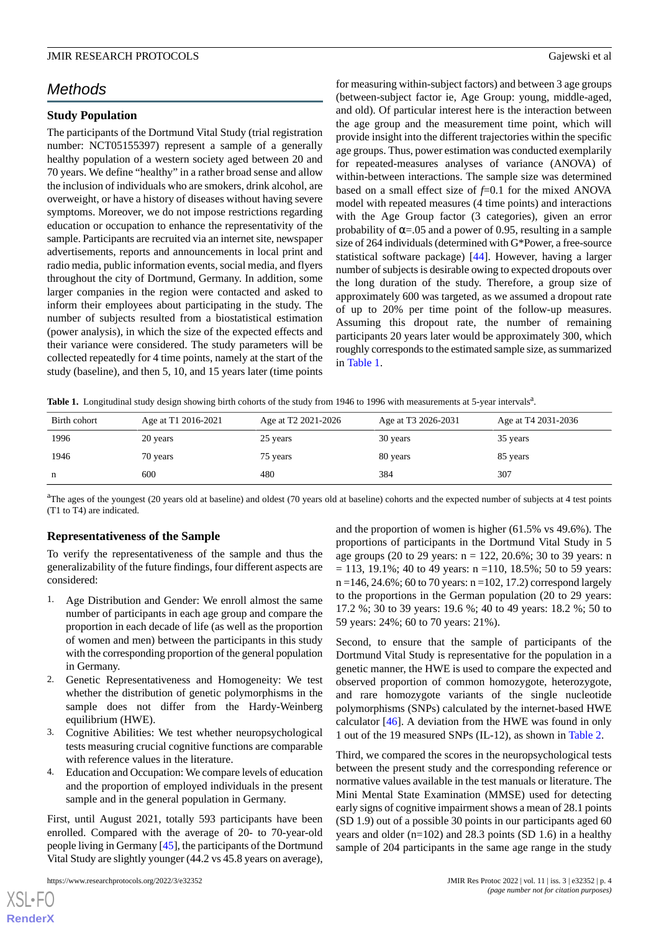# *Methods*

## **Study Population**

The participants of the Dortmund Vital Study (trial registration number: NCT05155397) represent a sample of a generally healthy population of a western society aged between 20 and 70 years. We define "healthy" in a rather broad sense and allow the inclusion of individuals who are smokers, drink alcohol, are overweight, or have a history of diseases without having severe symptoms. Moreover, we do not impose restrictions regarding education or occupation to enhance the representativity of the sample. Participants are recruited via an internet site, newspaper advertisements, reports and announcements in local print and radio media, public information events, social media, and flyers throughout the city of Dortmund, Germany. In addition, some larger companies in the region were contacted and asked to inform their employees about participating in the study. The number of subjects resulted from a biostatistical estimation (power analysis), in which the size of the expected effects and their variance were considered. The study parameters will be collected repeatedly for 4 time points, namely at the start of the study (baseline), and then 5, 10, and 15 years later (time points

for measuring within-subject factors) and between 3 age groups (between-subject factor ie, Age Group: young, middle-aged, and old). Of particular interest here is the interaction between the age group and the measurement time point, which will provide insight into the different trajectories within the specific age groups. Thus, power estimation was conducted exemplarily for repeated-measures analyses of variance (ANOVA) of within-between interactions. The sample size was determined based on a small effect size of *f*=0.1 for the mixed ANOVA model with repeated measures (4 time points) and interactions with the Age Group factor (3 categories), given an error probability of  $\alpha$ =.05 and a power of 0.95, resulting in a sample size of 264 individuals (determined with G\*Power, a free-source statistical software package) [[44\]](#page-13-14). However, having a larger number of subjects is desirable owing to expected dropouts over the long duration of the study. Therefore, a group size of approximately 600 was targeted, as we assumed a dropout rate of up to 20% per time point of the follow-up measures. Assuming this dropout rate, the number of remaining participants 20 years later would be approximately 300, which roughly corresponds to the estimated sample size, as summarized in [Table 1](#page-3-0).

<span id="page-3-0"></span>Table 1. Longitudinal study design showing birth cohorts of the study from 1946 to 1996 with measurements at 5-year intervals<sup>a</sup>.

| Birth cohort | Age at T1 2016-2021 | Age at T <sub>2</sub> 2021-2026 | Age at T3 2026-2031 | Age at T4 2031-2036 |
|--------------|---------------------|---------------------------------|---------------------|---------------------|
| 1996         | 20 years            | 25 years                        | 30 years            | 35 years            |
| 1946         | 70 years            | 75 years                        | 80 years            | 85 years            |
| n            | 600                 | 480                             | 384                 | 307                 |

<sup>a</sup>The ages of the youngest (20 years old at baseline) and oldest (70 years old at baseline) cohorts and the expected number of subjects at 4 test points (T1 to T4) are indicated.

## **Representativeness of the Sample**

To verify the representativeness of the sample and thus the generalizability of the future findings, four different aspects are considered:

- 1. Age Distribution and Gender: We enroll almost the same number of participants in each age group and compare the proportion in each decade of life (as well as the proportion of women and men) between the participants in this study with the corresponding proportion of the general population in Germany.
- 2. Genetic Representativeness and Homogeneity: We test whether the distribution of genetic polymorphisms in the sample does not differ from the Hardy-Weinberg equilibrium (HWE).
- 3. Cognitive Abilities: We test whether neuropsychological tests measuring crucial cognitive functions are comparable with reference values in the literature.
- 4. Education and Occupation: We compare levels of education and the proportion of employed individuals in the present sample and in the general population in Germany.

First, until August 2021, totally 593 participants have been enrolled. Compared with the average of 20- to 70-year-old people living in Germany [\[45](#page-13-15)], the participants of the Dortmund Vital Study are slightly younger (44.2 vs 45.8 years on average),

[XSL](http://www.w3.org/Style/XSL)•FO **[RenderX](http://www.renderx.com/)** and the proportion of women is higher (61.5% vs 49.6%). The proportions of participants in the Dortmund Vital Study in 5 age groups (20 to 29 years: n = 122, 20.6%; 30 to 39 years: n  $= 113, 19.1\%$ ; 40 to 49 years: n =110, 18.5%; 50 to 59 years:  $n = 146, 24.6\%$ ; 60 to 70 years:  $n = 102, 17.2$ ) correspond largely to the proportions in the German population (20 to 29 years: 17.2 %; 30 to 39 years: 19.6 %; 40 to 49 years: 18.2 %; 50 to 59 years: 24%; 60 to 70 years: 21%).

Second, to ensure that the sample of participants of the Dortmund Vital Study is representative for the population in a genetic manner, the HWE is used to compare the expected and observed proportion of common homozygote, heterozygote, and rare homozygote variants of the single nucleotide polymorphisms (SNPs) calculated by the internet-based HWE calculator [\[46](#page-13-16)]. A deviation from the HWE was found in only 1 out of the 19 measured SNPs (IL-12), as shown in [Table 2](#page-8-0).

Third, we compared the scores in the neuropsychological tests between the present study and the corresponding reference or normative values available in the test manuals or literature. The Mini Mental State Examination (MMSE) used for detecting early signs of cognitive impairment shows a mean of 28.1 points (SD 1.9) out of a possible 30 points in our participants aged 60 years and older  $(n=102)$  and 28.3 points (SD 1.6) in a healthy sample of 204 participants in the same age range in the study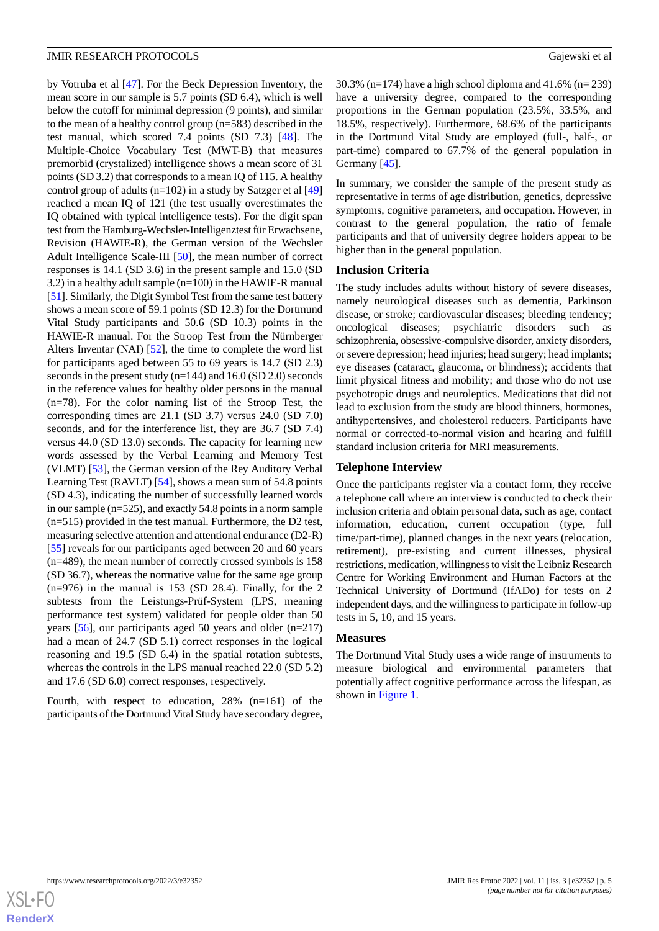by Votruba et al [[47\]](#page-13-17). For the Beck Depression Inventory, the mean score in our sample is 5.7 points (SD 6.4), which is well below the cutoff for minimal depression (9 points), and similar to the mean of a healthy control group (n=583) described in the test manual, which scored 7.4 points (SD 7.3) [[48\]](#page-13-18). The Multiple-Choice Vocabulary Test (MWT-B) that measures premorbid (crystalized) intelligence shows a mean score of 31 points (SD 3.2) that corresponds to a mean IQ of 115. A healthy control group of adults (n=102) in a study by Satzger et al [\[49](#page-13-19)] reached a mean IQ of 121 (the test usually overestimates the IQ obtained with typical intelligence tests). For the digit span test from the Hamburg-Wechsler-Intelligenztest für Erwachsene, Revision (HAWIE-R), the German version of the Wechsler Adult Intelligence Scale-III [[50\]](#page-13-20), the mean number of correct responses is 14.1 (SD 3.6) in the present sample and 15.0 (SD 3.2) in a healthy adult sample (n=100) in the HAWIE-R manual [[51\]](#page-13-21). Similarly, the Digit Symbol Test from the same test battery shows a mean score of 59.1 points (SD 12.3) for the Dortmund Vital Study participants and 50.6 (SD 10.3) points in the HAWIE-R manual. For the Stroop Test from the Nürnberger Alters Inventar (NAI) [[52\]](#page-13-22), the time to complete the word list for participants aged between 55 to 69 years is 14.7 (SD 2.3) seconds in the present study (n=144) and 16.0 (SD 2.0) seconds in the reference values for healthy older persons in the manual (n=78). For the color naming list of the Stroop Test, the corresponding times are 21.1 (SD 3.7) versus 24.0 (SD 7.0) seconds, and for the interference list, they are 36.7 (SD 7.4) versus 44.0 (SD 13.0) seconds. The capacity for learning new words assessed by the Verbal Learning and Memory Test (VLMT) [\[53](#page-13-23)], the German version of the Rey Auditory Verbal Learning Test (RAVLT) [[54\]](#page-13-24), shows a mean sum of 54.8 points (SD 4.3), indicating the number of successfully learned words in our sample (n=525), and exactly 54.8 points in a norm sample (n=515) provided in the test manual. Furthermore, the D2 test, measuring selective attention and attentional endurance (D2-R) [[55\]](#page-13-25) reveals for our participants aged between 20 and 60 years (n=489), the mean number of correctly crossed symbols is 158 (SD 36.7), whereas the normative value for the same age group  $(n=976)$  in the manual is 153 (SD 28.4). Finally, for the 2 subtests from the Leistungs-Prüf-System (LPS, meaning performance test system) validated for people older than 50 years [\[56](#page-13-26)], our participants aged 50 years and older (n=217) had a mean of 24.7 (SD 5.1) correct responses in the logical reasoning and 19.5 (SD 6.4) in the spatial rotation subtests, whereas the controls in the LPS manual reached 22.0 (SD 5.2) and 17.6 (SD 6.0) correct responses, respectively.

Fourth, with respect to education, 28% (n=161) of the participants of the Dortmund Vital Study have secondary degree,

30.3% (n=174) have a high school diploma and 41.6% (n= 239) have a university degree, compared to the corresponding proportions in the German population (23.5%, 33.5%, and 18.5%, respectively). Furthermore, 68.6% of the participants in the Dortmund Vital Study are employed (full-, half-, or part-time) compared to 67.7% of the general population in Germany [\[45](#page-13-15)].

In summary, we consider the sample of the present study as representative in terms of age distribution, genetics, depressive symptoms, cognitive parameters, and occupation. However, in contrast to the general population, the ratio of female participants and that of university degree holders appear to be higher than in the general population.

## **Inclusion Criteria**

The study includes adults without history of severe diseases, namely neurological diseases such as dementia, Parkinson disease, or stroke; cardiovascular diseases; bleeding tendency; oncological diseases; psychiatric disorders such as schizophrenia, obsessive-compulsive disorder, anxiety disorders, or severe depression; head injuries; head surgery; head implants; eye diseases (cataract, glaucoma, or blindness); accidents that limit physical fitness and mobility; and those who do not use psychotropic drugs and neuroleptics. Medications that did not lead to exclusion from the study are blood thinners, hormones, antihypertensives, and cholesterol reducers. Participants have normal or corrected-to-normal vision and hearing and fulfill standard inclusion criteria for MRI measurements.

#### **Telephone Interview**

Once the participants register via a contact form, they receive a telephone call where an interview is conducted to check their inclusion criteria and obtain personal data, such as age, contact information, education, current occupation (type, full time/part-time), planned changes in the next years (relocation, retirement), pre-existing and current illnesses, physical restrictions, medication, willingness to visit the Leibniz Research Centre for Working Environment and Human Factors at the Technical University of Dortmund (IfADo) for tests on 2 independent days, and the willingness to participate in follow-up tests in 5, 10, and 15 years.

#### **Measures**

The Dortmund Vital Study uses a wide range of instruments to measure biological and environmental parameters that potentially affect cognitive performance across the lifespan, as shown in [Figure 1.](#page-5-0)

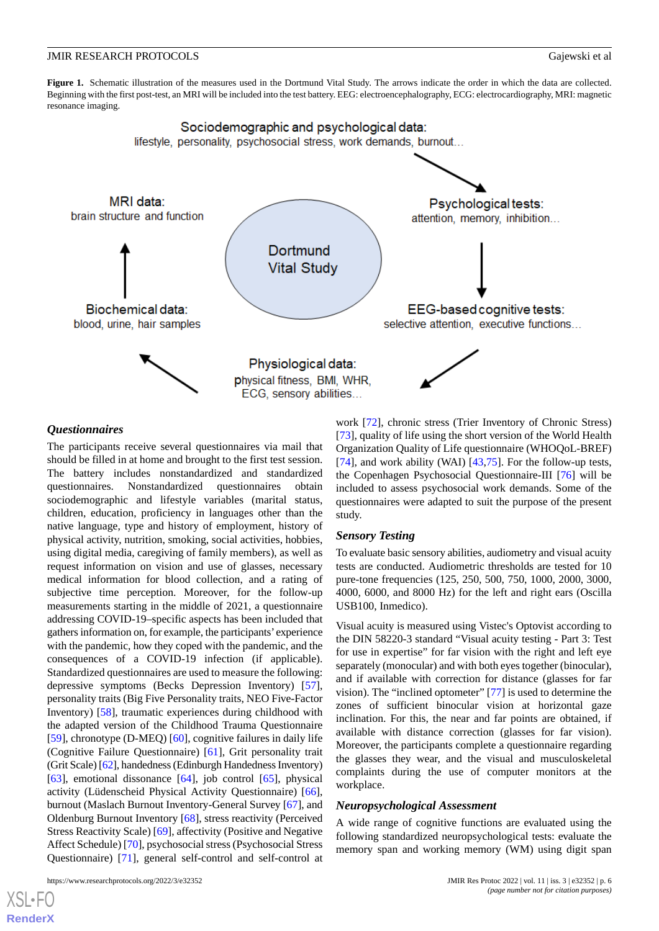<span id="page-5-0"></span>**Figure 1.** Schematic illustration of the measures used in the Dortmund Vital Study. The arrows indicate the order in which the data are collected. Beginning with the first post-test, an MRI will be included into the test battery. EEG: electroencephalography, ECG: electrocardiography, MRI: magnetic resonance imaging.



## *Questionnaires*

The participants receive several questionnaires via mail that should be filled in at home and brought to the first test session. The battery includes nonstandardized and standardized questionnaires. Nonstandardized questionnaires obtain sociodemographic and lifestyle variables (marital status, children, education, proficiency in languages other than the native language, type and history of employment, history of physical activity, nutrition, smoking, social activities, hobbies, using digital media, caregiving of family members), as well as request information on vision and use of glasses, necessary medical information for blood collection, and a rating of subjective time perception. Moreover, for the follow-up measurements starting in the middle of 2021, a questionnaire addressing COVID-19–specific aspects has been included that gathers information on, for example, the participants'experience with the pandemic, how they coped with the pandemic, and the consequences of a COVID-19 infection (if applicable). Standardized questionnaires are used to measure the following: depressive symptoms (Becks Depression Inventory) [[57\]](#page-13-27), personality traits (Big Five Personality traits, NEO Five-Factor Inventory) [[58\]](#page-14-0), traumatic experiences during childhood with the adapted version of the Childhood Trauma Questionnaire [[59\]](#page-14-1), chronotype (D-MEQ) [\[60](#page-14-2)], cognitive failures in daily life (Cognitive Failure Questionnaire) [[61\]](#page-14-3), Grit personality trait (Grit Scale) [\[62](#page-14-4)], handedness (Edinburgh Handedness Inventory) [[63\]](#page-14-5), emotional dissonance [\[64](#page-14-6)], job control [[65\]](#page-14-7), physical activity (Lüdenscheid Physical Activity Questionnaire) [[66\]](#page-14-8), burnout (Maslach Burnout Inventory-General Survey [\[67](#page-14-9)], and Oldenburg Burnout Inventory [\[68](#page-14-10)], stress reactivity (Perceived Stress Reactivity Scale) [[69\]](#page-14-11), affectivity (Positive and Negative Affect Schedule) [[70\]](#page-14-12), psychosocial stress (Psychosocial Stress Questionnaire) [[71\]](#page-14-13), general self-control and self-control at

work [[72\]](#page-14-14), chronic stress (Trier Inventory of Chronic Stress) [[73\]](#page-14-15), quality of life using the short version of the World Health Organization Quality of Life questionnaire (WHOQoL-BREF) [[74\]](#page-14-16), and work ability (WAI) [\[43](#page-13-13),[75\]](#page-14-17). For the follow-up tests, the Copenhagen Psychosocial Questionnaire-III [[76\]](#page-14-18) will be included to assess psychosocial work demands. Some of the questionnaires were adapted to suit the purpose of the present study.

#### *Sensory Testing*

To evaluate basic sensory abilities, audiometry and visual acuity tests are conducted. Audiometric thresholds are tested for 10 pure-tone frequencies (125, 250, 500, 750, 1000, 2000, 3000, 4000, 6000, and 8000 Hz) for the left and right ears (Oscilla USB100, Inmedico).

Visual acuity is measured using Vistec's Optovist according to the DIN 58220-3 standard "Visual acuity testing - Part 3: Test for use in expertise" for far vision with the right and left eye separately (monocular) and with both eyes together (binocular), and if available with correction for distance (glasses for far vision). The "inclined optometer" [\[77](#page-14-19)] is used to determine the zones of sufficient binocular vision at horizontal gaze inclination. For this, the near and far points are obtained, if available with distance correction (glasses for far vision). Moreover, the participants complete a questionnaire regarding the glasses they wear, and the visual and musculoskeletal complaints during the use of computer monitors at the workplace.

#### *Neuropsychological Assessment*

A wide range of cognitive functions are evaluated using the following standardized neuropsychological tests: evaluate the memory span and working memory (WM) using digit span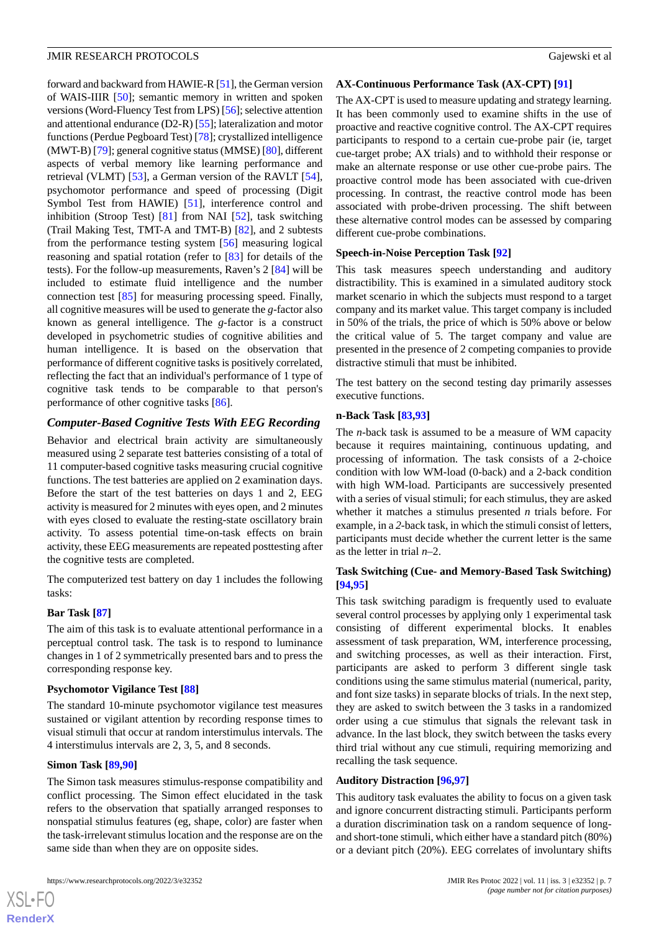forward and backward from HAWIE-R [[51](#page-13-21)], the German version of WAIS-IIIR [[50\]](#page-13-20); semantic memory in written and spoken versions (Word-Fluency Test from LPS) [[56](#page-13-26)]; selective attention and attentional endurance (D2-R) [[55\]](#page-13-25); lateralization and motor functions (Perdue Pegboard Test) [\[78](#page-14-20)]; crystallized intelligence (MWT-B) [[79\]](#page-14-21); general cognitive status (MMSE) [\[80](#page-14-22)], different aspects of verbal memory like learning performance and retrieval (VLMT) [\[53](#page-13-23)], a German version of the RAVLT [[54\]](#page-13-24), psychomotor performance and speed of processing (Digit Symbol Test from HAWIE) [[51\]](#page-13-21), interference control and inhibition (Stroop Test) [[81\]](#page-14-23) from NAI [[52\]](#page-13-22), task switching (Trail Making Test, TMT-A and TMT-B) [[82\]](#page-14-24), and 2 subtests from the performance testing system [[56\]](#page-13-26) measuring logical reasoning and spatial rotation (refer to [\[83](#page-14-25)] for details of the tests). For the follow-up measurements, Raven's 2 [\[84](#page-15-0)] will be included to estimate fluid intelligence and the number connection test [\[85](#page-15-1)] for measuring processing speed. Finally, all cognitive measures will be used to generate the *g*-factor also known as general intelligence. The *g*-factor is a construct developed in psychometric studies of cognitive abilities and human intelligence. It is based on the observation that performance of different cognitive tasks is positively correlated, reflecting the fact that an individual's performance of 1 type of cognitive task tends to be comparable to that person's performance of other cognitive tasks [[86\]](#page-15-2).

## *Computer-Based Cognitive Tests With EEG Recording*

Behavior and electrical brain activity are simultaneously measured using 2 separate test batteries consisting of a total of 11 computer-based cognitive tasks measuring crucial cognitive functions. The test batteries are applied on 2 examination days. Before the start of the test batteries on days 1 and 2, EEG activity is measured for 2 minutes with eyes open, and 2 minutes with eyes closed to evaluate the resting-state oscillatory brain activity. To assess potential time-on-task effects on brain activity, these EEG measurements are repeated posttesting after the cognitive tests are completed.

The computerized test battery on day 1 includes the following tasks:

#### **Bar Task [\[87](#page-15-3)]**

The aim of this task is to evaluate attentional performance in a perceptual control task. The task is to respond to luminance changes in 1 of 2 symmetrically presented bars and to press the corresponding response key.

#### **Psychomotor Vigilance Test [\[88](#page-15-4)]**

The standard 10-minute psychomotor vigilance test measures sustained or vigilant attention by recording response times to visual stimuli that occur at random interstimulus intervals. The 4 interstimulus intervals are 2, 3, 5, and 8 seconds.

#### **Simon Task [\[89](#page-15-5),[90\]](#page-15-6)**

 $XS$ -FO **[RenderX](http://www.renderx.com/)**

The Simon task measures stimulus-response compatibility and conflict processing. The Simon effect elucidated in the task refers to the observation that spatially arranged responses to nonspatial stimulus features (eg, shape, color) are faster when the task-irrelevant stimulus location and the response are on the same side than when they are on opposite sides.

#### **AX-Continuous Performance Task (AX-CPT) [[91\]](#page-15-7)**

The AX-CPT is used to measure updating and strategy learning. It has been commonly used to examine shifts in the use of proactive and reactive cognitive control. The AX-CPT requires participants to respond to a certain cue-probe pair (ie, target cue-target probe; AX trials) and to withhold their response or make an alternate response or use other cue-probe pairs. The proactive control mode has been associated with cue-driven processing. In contrast, the reactive control mode has been associated with probe-driven processing. The shift between these alternative control modes can be assessed by comparing different cue-probe combinations.

#### **Speech-in-Noise Perception Task [[92\]](#page-15-8)**

This task measures speech understanding and auditory distractibility. This is examined in a simulated auditory stock market scenario in which the subjects must respond to a target company and its market value. This target company is included in 50% of the trials, the price of which is 50% above or below the critical value of 5. The target company and value are presented in the presence of 2 competing companies to provide distractive stimuli that must be inhibited.

The test battery on the second testing day primarily assesses executive functions.

#### **n-Back Task [[83,](#page-14-25)[93](#page-15-9)]**

The *n*-back task is assumed to be a measure of WM capacity because it requires maintaining, continuous updating, and processing of information. The task consists of a 2-choice condition with low WM-load (0-back) and a 2-back condition with high WM-load. Participants are successively presented with a series of visual stimuli; for each stimulus, they are asked whether it matches a stimulus presented *n* trials before. For example, in a *2*-back task, in which the stimuli consist of letters, participants must decide whether the current letter is the same as the letter in trial *n*–2.

#### **Task Switching (Cue- and Memory-Based Task Switching) [[94,](#page-15-10)[95\]](#page-15-11)**

This task switching paradigm is frequently used to evaluate several control processes by applying only 1 experimental task consisting of different experimental blocks. It enables assessment of task preparation, WM, interference processing, and switching processes, as well as their interaction. First, participants are asked to perform 3 different single task conditions using the same stimulus material (numerical, parity, and font size tasks) in separate blocks of trials. In the next step, they are asked to switch between the 3 tasks in a randomized order using a cue stimulus that signals the relevant task in advance. In the last block, they switch between the tasks every third trial without any cue stimuli, requiring memorizing and recalling the task sequence.

## **Auditory Distraction [\[96](#page-15-12),[97\]](#page-15-13)**

This auditory task evaluates the ability to focus on a given task and ignore concurrent distracting stimuli. Participants perform a duration discrimination task on a random sequence of longand short-tone stimuli, which either have a standard pitch (80%) or a deviant pitch (20%). EEG correlates of involuntary shifts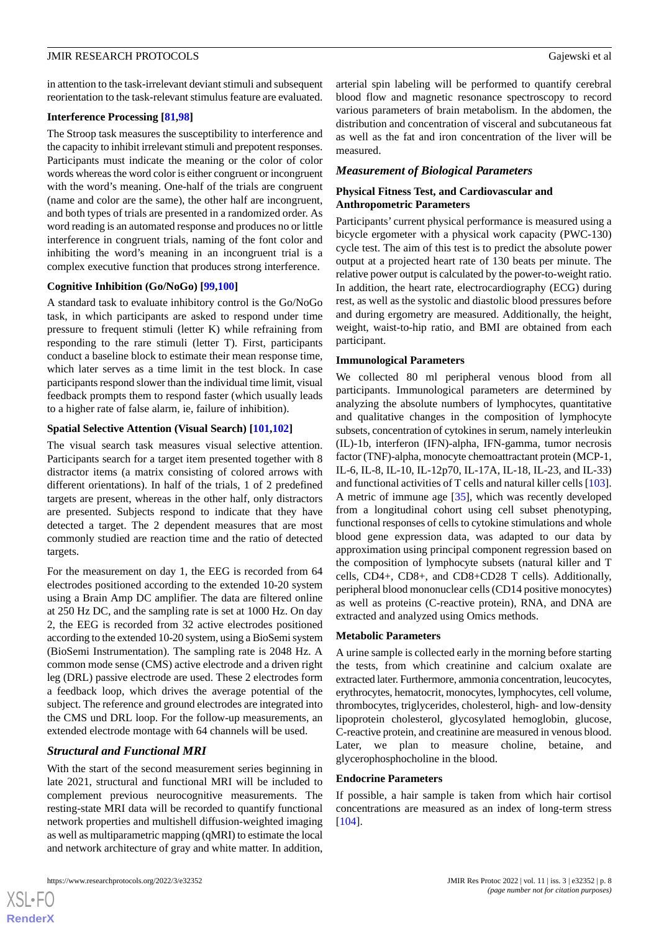in attention to the task-irrelevant deviant stimuli and subsequent reorientation to the task-relevant stimulus feature are evaluated.

#### **Interference Processing [[81](#page-14-23)[,98](#page-15-14)]**

The Stroop task measures the susceptibility to interference and the capacity to inhibit irrelevant stimuli and prepotent responses. Participants must indicate the meaning or the color of color words whereas the word color is either congruent or incongruent with the word's meaning. One-half of the trials are congruent (name and color are the same), the other half are incongruent, and both types of trials are presented in a randomized order. As word reading is an automated response and produces no or little interference in congruent trials, naming of the font color and inhibiting the word's meaning in an incongruent trial is a complex executive function that produces strong interference.

#### **Cognitive Inhibition (Go/NoGo) [\[99](#page-15-15),[100\]](#page-15-16)**

A standard task to evaluate inhibitory control is the Go/NoGo task, in which participants are asked to respond under time pressure to frequent stimuli (letter K) while refraining from responding to the rare stimuli (letter T). First, participants conduct a baseline block to estimate their mean response time, which later serves as a time limit in the test block. In case participants respond slower than the individual time limit, visual feedback prompts them to respond faster (which usually leads to a higher rate of false alarm, ie, failure of inhibition).

#### **Spatial Selective Attention (Visual Search) [[101,](#page-15-17)[102](#page-15-18)]**

The visual search task measures visual selective attention. Participants search for a target item presented together with 8 distractor items (a matrix consisting of colored arrows with different orientations). In half of the trials, 1 of 2 predefined targets are present, whereas in the other half, only distractors are presented. Subjects respond to indicate that they have detected a target. The 2 dependent measures that are most commonly studied are reaction time and the ratio of detected targets.

For the measurement on day 1, the EEG is recorded from 64 electrodes positioned according to the extended 10-20 system using a Brain Amp DC amplifier. The data are filtered online at 250 Hz DC, and the sampling rate is set at 1000 Hz. On day 2, the EEG is recorded from 32 active electrodes positioned according to the extended 10-20 system, using a BioSemi system (BioSemi Instrumentation). The sampling rate is 2048 Hz. A common mode sense (CMS) active electrode and a driven right leg (DRL) passive electrode are used. These 2 electrodes form a feedback loop, which drives the average potential of the subject. The reference and ground electrodes are integrated into the CMS und DRL loop. For the follow-up measurements, an extended electrode montage with 64 channels will be used.

#### *Structural and Functional MRI*

With the start of the second measurement series beginning in late 2021, structural and functional MRI will be included to complement previous neurocognitive measurements. The resting-state MRI data will be recorded to quantify functional network properties and multishell diffusion-weighted imaging as well as multiparametric mapping (qMRI) to estimate the local and network architecture of gray and white matter. In addition,

arterial spin labeling will be performed to quantify cerebral blood flow and magnetic resonance spectroscopy to record various parameters of brain metabolism. In the abdomen, the distribution and concentration of visceral and subcutaneous fat as well as the fat and iron concentration of the liver will be measured.

#### *Measurement of Biological Parameters*

## **Physical Fitness Test, and Cardiovascular and Anthropometric Parameters**

Participants' current physical performance is measured using a bicycle ergometer with a physical work capacity (PWC-130) cycle test. The aim of this test is to predict the absolute power output at a projected heart rate of 130 beats per minute. The relative power output is calculated by the power-to-weight ratio. In addition, the heart rate, electrocardiography (ECG) during rest, as well as the systolic and diastolic blood pressures before and during ergometry are measured. Additionally, the height, weight, waist-to-hip ratio, and BMI are obtained from each participant.

## **Immunological Parameters**

We collected 80 ml peripheral venous blood from all participants. Immunological parameters are determined by analyzing the absolute numbers of lymphocytes, quantitative and qualitative changes in the composition of lymphocyte subsets, concentration of cytokines in serum, namely interleukin (IL)-1b, interferon (IFN)-alpha, IFN-gamma, tumor necrosis factor (TNF)-alpha, monocyte chemoattractant protein (MCP-1, IL-6, IL-8, IL-10, IL-12p70, IL-17A, IL-18, IL-23, and IL-33) and functional activities of T cells and natural killer cells [[103\]](#page-15-19). A metric of immune age [\[35](#page-13-5)], which was recently developed from a longitudinal cohort using cell subset phenotyping, functional responses of cells to cytokine stimulations and whole blood gene expression data, was adapted to our data by approximation using principal component regression based on the composition of lymphocyte subsets (natural killer and T cells, CD4+, CD8+, and CD8+CD28 T cells). Additionally, peripheral blood mononuclear cells (CD14 positive monocytes) as well as proteins (C-reactive protein), RNA, and DNA are extracted and analyzed using Omics methods.

#### **Metabolic Parameters**

A urine sample is collected early in the morning before starting the tests, from which creatinine and calcium oxalate are extracted later. Furthermore, ammonia concentration, leucocytes, erythrocytes, hematocrit, monocytes, lymphocytes, cell volume, thrombocytes, triglycerides, cholesterol, high- and low-density lipoprotein cholesterol, glycosylated hemoglobin, glucose, C-reactive protein, and creatinine are measured in venous blood. Later, we plan to measure choline, betaine, and glycerophosphocholine in the blood.

## **Endocrine Parameters**

If possible, a hair sample is taken from which hair cortisol concentrations are measured as an index of long-term stress [[104\]](#page-15-20).

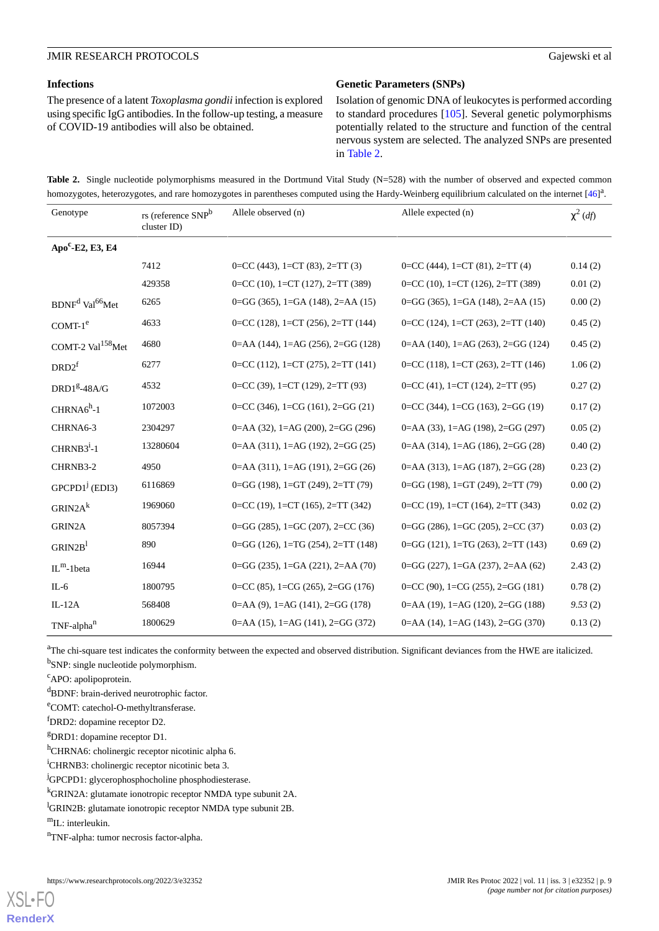#### **Infections**

The presence of a latent *Toxoplasma gondii*infection is explored using specific IgG antibodies. In the follow-up testing, a measure of COVID-19 antibodies will also be obtained.

#### **Genetic Parameters (SNPs)**

Isolation of genomic DNA of leukocytes is performed according to standard procedures [[105\]](#page-15-21). Several genetic polymorphisms potentially related to the structure and function of the central nervous system are selected. The analyzed SNPs are presented in [Table 2](#page-8-0).

<span id="page-8-0"></span>

|  | Table 2. Single nucleotide polymorphisms measured in the Dortmund Vital Study (N=528) with the number of observed and expected common               |  |  |  |  |
|--|-----------------------------------------------------------------------------------------------------------------------------------------------------|--|--|--|--|
|  | homozygotes, heterozygotes, and rare homozygotes in parentheses computed using the Hardy-Weinberg equilibrium calculated on the internet $[46]^2$ . |  |  |  |  |

| Genotype                                | rs (reference SNP <sup>b</sup><br>cluster ID) | Allele observed (n)                           | Allele expected (n)                        | $\chi^2$ (df) |
|-----------------------------------------|-----------------------------------------------|-----------------------------------------------|--------------------------------------------|---------------|
| $Apo^c$ -E2, E3, E4                     |                                               |                                               |                                            |               |
|                                         | 7412                                          | $0=CC(443), 1=CT(83), 2=TT(3)$                | $0=CC(444), 1=CT(81), 2=TT(4)$             | 0.14(2)       |
|                                         | 429358                                        | $0=CC(10), 1=CT(127), 2=TT(389)$              | $0=CC(10), 1=CT(126), 2=TT(389)$           | 0.01(2)       |
| BDNF <sup>d</sup> Val <sup>66</sup> Met | 6265                                          | $0 = GG$ (365), 1=GA (148), 2=AA (15)         | $0 = GG$ (365), 1=GA (148), 2=AA (15)      | 0.00(2)       |
| $COMT-1e$                               | 4633                                          | $0=CC(128), 1=CT(256), 2=TT(144)$             | $0=CC(124)$ , 1=CT(263), 2=TT(140)         | 0.45(2)       |
| COMT-2 Val <sup>158</sup> Met           | 4680                                          | $0 = AA(144)$ , $1 = AG(256)$ , $2 = GG(128)$ | $0 = AA(140), 1 = AG(263), 2 = GG(124)$    | 0.45(2)       |
| DRD2 <sup>f</sup>                       | 6277                                          | $0=CC(112), 1=CT(275), 2=TT(141)$             | $0=CC(118), 1=CT(263), 2=TT(146)$          | 1.06(2)       |
| $DRD1g - 48A/G$                         | 4532                                          | $0=CC(39), 1=CT(129), 2=TT(93)$               | $0=CC(41), 1=CT(124), 2=TT(95)$            | 0.27(2)       |
| $CHRNA6h-1$                             | 1072003                                       | $0=CC(346), 1=CG(161), 2=GG(21)$              | $0=CC(344), 1=CG(163), 2=GG(19)$           | 0.17(2)       |
| CHRNA6-3                                | 2304297                                       | $0 = AA(32)$ , 1=AG $(200)$ , 2=GG $(296)$    | $0 = AA(33), 1 = AG(198), 2 = GG(297)$     | 0.05(2)       |
| $CHRNB3i$ -1                            | 13280604                                      | $0 = AA(311)$ , 1=AG(192), 2=GG(25)           | $0 = AA(314)$ , 1=AG(186), 2=GG(28)        | 0.40(2)       |
| CHRNB3-2                                | 4950                                          | $0 = AA(311)$ , $1 = AG(191)$ , $2 = GG(26)$  | $0 = AA(313), 1 = AG(187), 2 = GG(28)$     | 0.23(2)       |
| $GPCPD1^j$ (EDI3)                       | 6116869                                       | $0 = GG$ (198), 1=GT (249), 2=TT (79)         | $0 = GG$ (198), 1=GT (249), 2=TT (79)      | 0.00(2)       |
| GRIN2A <sup>k</sup>                     | 1969060                                       | $0=CC(19), 1=CT(165), 2=TT(342)$              | $0=CC(19), 1=CT(164), 2=TT(343)$           | 0.02(2)       |
| GRIN2A                                  | 8057394                                       | $0 = GG (285)$ , 1=GC (207), 2=CC (36)        | $0 = GG (286)$ , 1=GC (205), 2=CC (37)     | 0.03(2)       |
| GRIN2B <sup>1</sup>                     | 890                                           | $0 = GG$ (126), 1=TG (254), 2=TT (148)        | $0 = GG$ (121), 1=TG (263), 2=TT (143)     | 0.69(2)       |
| $ILm$ -1beta                            | 16944                                         | $0 = GG (235), 1 = GA (221), 2 = AA (70)$     | $0 = GG (227), 1 = GA (237), 2 = AA (62)$  | 2.43(2)       |
| $IL-6$                                  | 1800795                                       | $0=CC(85)$ , 1=CG (265), 2=GG (176)           | $0=CC(90)$ , 1=CG (255), 2=GG (181)        | 0.78(2)       |
| $IL-12A$                                | 568408                                        | $0 = AA(9)$ , 1=AG $(141)$ , 2=GG $(178)$     | $0 = AA(19)$ , 1=AG $(120)$ , 2=GG $(188)$ | 9.53(2)       |
| TNF-alpha <sup>n</sup>                  | 1800629                                       | $0 = AA(15)$ , 1=AG(141), 2=GG(372)           | $0 = AA(14)$ , 1=AG(143), 2=GG(370)        | 0.13(2)       |

<sup>a</sup>The chi-square test indicates the conformity between the expected and observed distribution. Significant deviances from the HWE are italicized. <sup>b</sup>SNP: single nucleotide polymorphism.

<sup>c</sup>APO: apolipoprotein.

<sup>d</sup>BDNF: brain-derived neurotrophic factor.

<sup>e</sup>COMT: catechol-O-methyltransferase.

<sup>f</sup>DRD2: dopamine receptor D2.

<sup>g</sup>DRD1: dopamine receptor D1.

<sup>h</sup>CHRNA6: cholinergic receptor nicotinic alpha 6.

<sup>i</sup>CHRNB3: cholinergic receptor nicotinic beta 3.

<sup>j</sup>GPCPD1: glycerophosphocholine phosphodiesterase.

<sup>k</sup>GRIN2A: glutamate ionotropic receptor NMDA type subunit 2A.

<sup>1</sup>GRIN2B: glutamate ionotropic receptor NMDA type subunit 2B.

 $m$ IL: interleukin.

 $X$ SL•FO **[RenderX](http://www.renderx.com/)**

<sup>n</sup>TNF-alpha: tumor necrosis factor-alpha.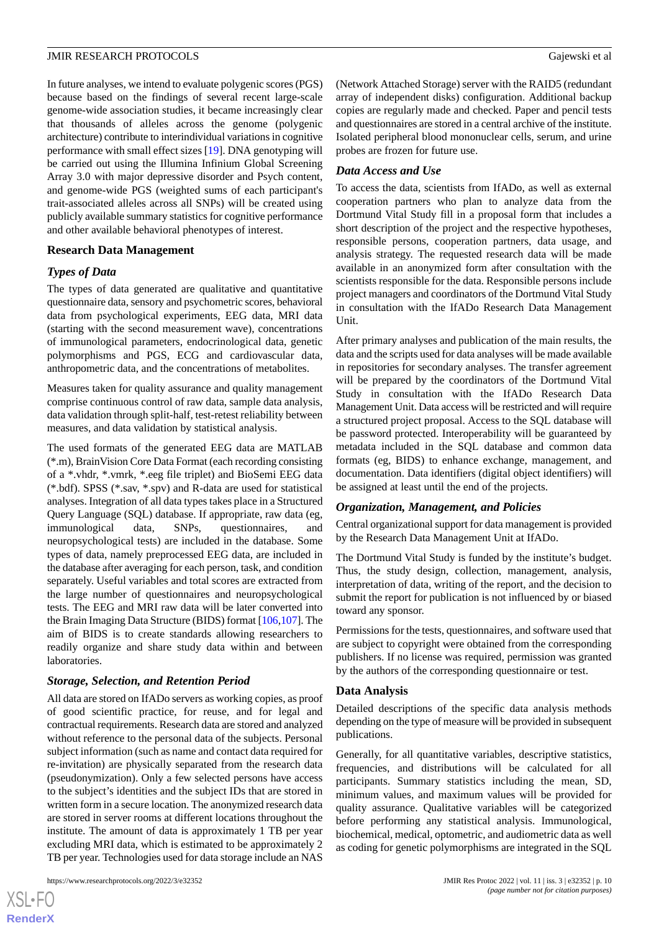In future analyses, we intend to evaluate polygenic scores (PGS) because based on the findings of several recent large-scale genome-wide association studies, it became increasingly clear that thousands of alleles across the genome (polygenic architecture) contribute to interindividual variations in cognitive performance with small effect sizes [[19\]](#page-12-6). DNA genotyping will be carried out using the Illumina Infinium Global Screening Array 3.0 with major depressive disorder and Psych content, and genome-wide PGS (weighted sums of each participant's trait-associated alleles across all SNPs) will be created using publicly available summary statistics for cognitive performance and other available behavioral phenotypes of interest.

## **Research Data Management**

## *Types of Data*

The types of data generated are qualitative and quantitative questionnaire data, sensory and psychometric scores, behavioral data from psychological experiments, EEG data, MRI data (starting with the second measurement wave), concentrations of immunological parameters, endocrinological data, genetic polymorphisms and PGS, ECG and cardiovascular data, anthropometric data, and the concentrations of metabolites.

Measures taken for quality assurance and quality management comprise continuous control of raw data, sample data analysis, data validation through split-half, test-retest reliability between measures, and data validation by statistical analysis.

The used formats of the generated EEG data are MATLAB (\*.m), BrainVision Core Data Format (each recording consisting of a \*.vhdr, \*.vmrk, \*.eeg file triplet) and BioSemi EEG data (\*.bdf). SPSS (\*.sav, \*.spv) and R-data are used for statistical analyses. Integration of all data types takes place in a Structured Query Language (SQL) database. If appropriate, raw data (eg, immunological data, SNPs, questionnaires, and neuropsychological tests) are included in the database. Some types of data, namely preprocessed EEG data, are included in the database after averaging for each person, task, and condition separately. Useful variables and total scores are extracted from the large number of questionnaires and neuropsychological tests. The EEG and MRI raw data will be later converted into the Brain Imaging Data Structure (BIDS) format [\[106](#page-15-22),[107\]](#page-15-23). The aim of BIDS is to create standards allowing researchers to readily organize and share study data within and between laboratories.

## *Storage, Selection, and Retention Period*

All data are stored on IfADo servers as working copies, as proof of good scientific practice, for reuse, and for legal and contractual requirements. Research data are stored and analyzed without reference to the personal data of the subjects. Personal subject information (such as name and contact data required for re-invitation) are physically separated from the research data (pseudonymization). Only a few selected persons have access to the subject's identities and the subject IDs that are stored in written form in a secure location. The anonymized research data are stored in server rooms at different locations throughout the institute. The amount of data is approximately 1 TB per year excluding MRI data, which is estimated to be approximately 2 TB per year. Technologies used for data storage include an NAS

[XSL](http://www.w3.org/Style/XSL)•FO **[RenderX](http://www.renderx.com/)** (Network Attached Storage) server with the RAID5 (redundant array of independent disks) configuration. Additional backup copies are regularly made and checked. Paper and pencil tests and questionnaires are stored in a central archive of the institute. Isolated peripheral blood mononuclear cells, serum, and urine probes are frozen for future use.

## *Data Access and Use*

To access the data, scientists from IfADo, as well as external cooperation partners who plan to analyze data from the Dortmund Vital Study fill in a proposal form that includes a short description of the project and the respective hypotheses, responsible persons, cooperation partners, data usage, and analysis strategy. The requested research data will be made available in an anonymized form after consultation with the scientists responsible for the data. Responsible persons include project managers and coordinators of the Dortmund Vital Study in consultation with the IfADo Research Data Management Unit.

After primary analyses and publication of the main results, the data and the scripts used for data analyses will be made available in repositories for secondary analyses. The transfer agreement will be prepared by the coordinators of the Dortmund Vital Study in consultation with the IfADo Research Data Management Unit. Data access will be restricted and will require a structured project proposal. Access to the SQL database will be password protected. Interoperability will be guaranteed by metadata included in the SQL database and common data formats (eg, BIDS) to enhance exchange, management, and documentation. Data identifiers (digital object identifiers) will be assigned at least until the end of the projects.

#### *Organization, Management, and Policies*

Central organizational support for data management is provided by the Research Data Management Unit at IfADo.

The Dortmund Vital Study is funded by the institute's budget. Thus, the study design, collection, management, analysis, interpretation of data, writing of the report, and the decision to submit the report for publication is not influenced by or biased toward any sponsor.

Permissions for the tests, questionnaires, and software used that are subject to copyright were obtained from the corresponding publishers. If no license was required, permission was granted by the authors of the corresponding questionnaire or test.

#### **Data Analysis**

Detailed descriptions of the specific data analysis methods depending on the type of measure will be provided in subsequent publications.

Generally, for all quantitative variables, descriptive statistics, frequencies, and distributions will be calculated for all participants. Summary statistics including the mean, SD, minimum values, and maximum values will be provided for quality assurance. Qualitative variables will be categorized before performing any statistical analysis. Immunological, biochemical, medical, optometric, and audiometric data as well as coding for genetic polymorphisms are integrated in the SQL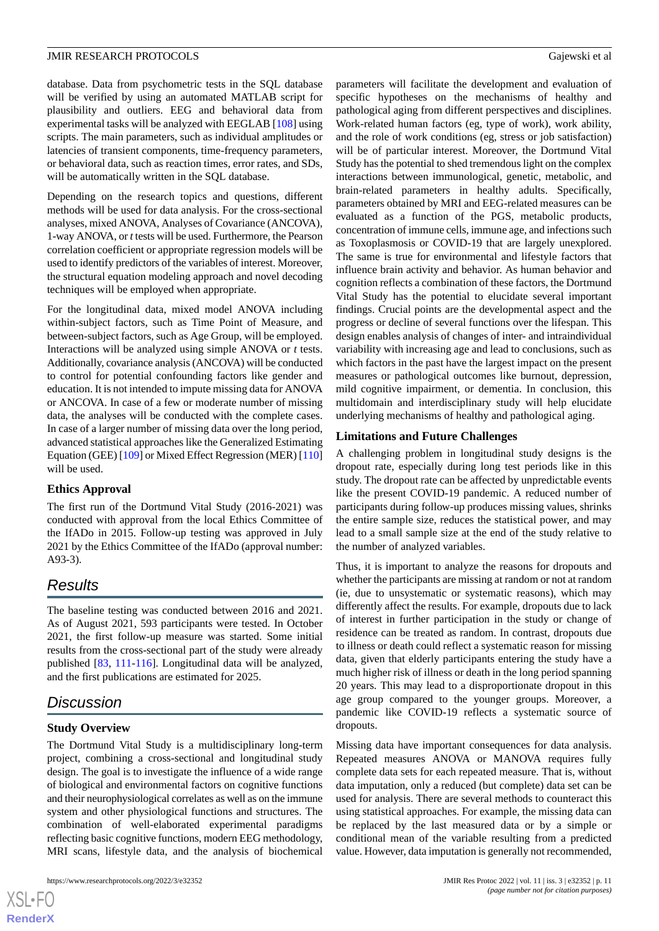database. Data from psychometric tests in the SQL database will be verified by using an automated MATLAB script for plausibility and outliers. EEG and behavioral data from experimental tasks will be analyzed with EEGLAB [[108\]](#page-15-24) using scripts. The main parameters, such as individual amplitudes or latencies of transient components, time-frequency parameters, or behavioral data, such as reaction times, error rates, and SDs, will be automatically written in the SQL database.

Depending on the research topics and questions, different methods will be used for data analysis. For the cross-sectional analyses, mixed ANOVA, Analyses of Covariance (ANCOVA), 1-way ANOVA, or *t*tests will be used. Furthermore, the Pearson correlation coefficient or appropriate regression models will be used to identify predictors of the variables of interest. Moreover, the structural equation modeling approach and novel decoding techniques will be employed when appropriate.

For the longitudinal data, mixed model ANOVA including within-subject factors, such as Time Point of Measure, and between-subject factors, such as Age Group, will be employed. Interactions will be analyzed using simple ANOVA or *t* tests. Additionally, covariance analysis (ANCOVA) will be conducted to control for potential confounding factors like gender and education. It is not intended to impute missing data for ANOVA or ANCOVA. In case of a few or moderate number of missing data, the analyses will be conducted with the complete cases. In case of a larger number of missing data over the long period, advanced statistical approaches like the Generalized Estimating Equation (GEE) [\[109\]](#page-16-0) or Mixed Effect Regression (MER) [[110](#page-16-1)] will be used.

#### **Ethics Approval**

The first run of the Dortmund Vital Study (2016-2021) was conducted with approval from the local Ethics Committee of the IfADo in 2015. Follow-up testing was approved in July 2021 by the Ethics Committee of the IfADo (approval number: A93-3).

## *Results*

The baseline testing was conducted between 2016 and 2021. As of August 2021, 593 participants were tested. In October 2021, the first follow-up measure was started. Some initial results from the cross-sectional part of the study were already published [\[83](#page-14-25), [111](#page-16-2)[-116](#page-16-3)]. Longitudinal data will be analyzed, and the first publications are estimated for 2025.

# *Discussion*

## **Study Overview**

The Dortmund Vital Study is a multidisciplinary long-term project, combining a cross-sectional and longitudinal study design. The goal is to investigate the influence of a wide range of biological and environmental factors on cognitive functions and their neurophysiological correlates as well as on the immune system and other physiological functions and structures. The combination of well-elaborated experimental paradigms reflecting basic cognitive functions, modern EEG methodology, MRI scans, lifestyle data, and the analysis of biochemical

parameters will facilitate the development and evaluation of specific hypotheses on the mechanisms of healthy and pathological aging from different perspectives and disciplines. Work-related human factors (eg, type of work), work ability, and the role of work conditions (eg, stress or job satisfaction) will be of particular interest. Moreover, the Dortmund Vital Study has the potential to shed tremendous light on the complex interactions between immunological, genetic, metabolic, and brain-related parameters in healthy adults. Specifically, parameters obtained by MRI and EEG-related measures can be evaluated as a function of the PGS, metabolic products, concentration of immune cells, immune age, and infections such as Toxoplasmosis or COVID-19 that are largely unexplored. The same is true for environmental and lifestyle factors that influence brain activity and behavior. As human behavior and cognition reflects a combination of these factors, the Dortmund Vital Study has the potential to elucidate several important findings. Crucial points are the developmental aspect and the progress or decline of several functions over the lifespan. This design enables analysis of changes of inter- and intraindividual variability with increasing age and lead to conclusions, such as which factors in the past have the largest impact on the present measures or pathological outcomes like burnout, depression, mild cognitive impairment, or dementia. In conclusion, this multidomain and interdisciplinary study will help elucidate underlying mechanisms of healthy and pathological aging.

#### **Limitations and Future Challenges**

A challenging problem in longitudinal study designs is the dropout rate, especially during long test periods like in this study. The dropout rate can be affected by unpredictable events like the present COVID-19 pandemic. A reduced number of participants during follow-up produces missing values, shrinks the entire sample size, reduces the statistical power, and may lead to a small sample size at the end of the study relative to the number of analyzed variables.

Thus, it is important to analyze the reasons for dropouts and whether the participants are missing at random or not at random (ie, due to unsystematic or systematic reasons), which may differently affect the results. For example, dropouts due to lack of interest in further participation in the study or change of residence can be treated as random. In contrast, dropouts due to illness or death could reflect a systematic reason for missing data, given that elderly participants entering the study have a much higher risk of illness or death in the long period spanning 20 years. This may lead to a disproportionate dropout in this age group compared to the younger groups. Moreover, a pandemic like COVID-19 reflects a systematic source of dropouts.

Missing data have important consequences for data analysis. Repeated measures ANOVA or MANOVA requires fully complete data sets for each repeated measure. That is, without data imputation, only a reduced (but complete) data set can be used for analysis. There are several methods to counteract this using statistical approaches. For example, the missing data can be replaced by the last measured data or by a simple or conditional mean of the variable resulting from a predicted value. However, data imputation is generally not recommended,

```
XSI - F(RenderX
```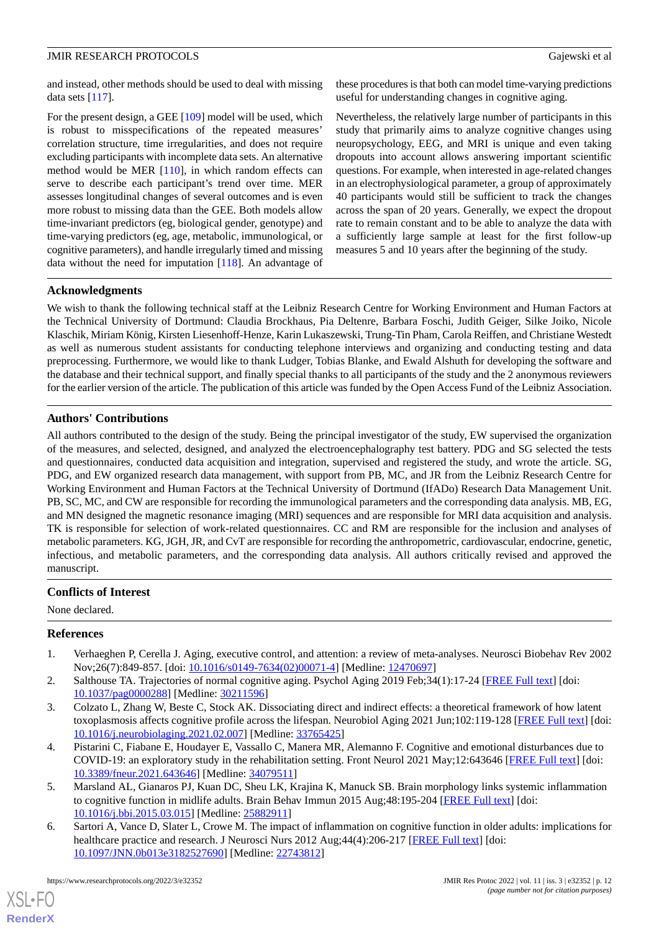and instead, other methods should be used to deal with missing data sets  $[117]$ .

For the present design, a GEE [[109\]](#page-16-0) model will be used, which is robust to misspecifications of the repeated measures' correlation structure, time irregularities, and does not require excluding participants with incomplete data sets. An alternative method would be MER [[110\]](#page-16-1), in which random effects can serve to describe each participant's trend over time. MER assesses longitudinal changes of several outcomes and is even more robust to missing data than the GEE. Both models allow time-invariant predictors (eg, biological gender, genotype) and time-varying predictors (eg, age, metabolic, immunological, or cognitive parameters), and handle irregularly timed and missing data without the need for imputation [[118\]](#page-16-5). An advantage of

these procedures is that both can model time-varying predictions useful for understanding changes in cognitive aging.

Nevertheless, the relatively large number of participants in this study that primarily aims to analyze cognitive changes using neuropsychology, EEG, and MRI is unique and even taking dropouts into account allows answering important scientific questions. For example, when interested in age-related changes in an electrophysiological parameter, a group of approximately 40 participants would still be sufficient to track the changes across the span of 20 years. Generally, we expect the dropout rate to remain constant and to be able to analyze the data with a sufficiently large sample at least for the first follow-up measures 5 and 10 years after the beginning of the study.

## **Acknowledgments**

We wish to thank the following technical staff at the Leibniz Research Centre for Working Environment and Human Factors at the Technical University of Dortmund: Claudia Brockhaus, Pia Deltenre, Barbara Foschi, Judith Geiger, Silke Joiko, Nicole Klaschik, Miriam König, Kirsten Liesenhoff-Henze, Karin Lukaszewski, Trung-Tin Pham, Carola Reiffen, and Christiane Westedt as well as numerous student assistants for conducting telephone interviews and organizing and conducting testing and data preprocessing. Furthermore, we would like to thank Ludger, Tobias Blanke, and Ewald Alshuth for developing the software and the database and their technical support, and finally special thanks to all participants of the study and the 2 anonymous reviewers for the earlier version of the article. The publication of this article was funded by the Open Access Fund of the Leibniz Association.

## **Authors' Contributions**

All authors contributed to the design of the study. Being the principal investigator of the study, EW supervised the organization of the measures, and selected, designed, and analyzed the electroencephalography test battery. PDG and SG selected the tests and questionnaires, conducted data acquisition and integration, supervised and registered the study, and wrote the article. SG, PDG, and EW organized research data management, with support from PB, MC, and JR from the Leibniz Research Centre for Working Environment and Human Factors at the Technical University of Dortmund (IfADo) Research Data Management Unit. PB, SC, MC, and CW are responsible for recording the immunological parameters and the corresponding data analysis. MB, EG, and MN designed the magnetic resonance imaging (MRI) sequences and are responsible for MRI data acquisition and analysis. TK is responsible for selection of work-related questionnaires. CC and RM are responsible for the inclusion and analyses of metabolic parameters. KG, JGH, JR, and CvT are responsible for recording the anthropometric, cardiovascular, endocrine, genetic, infectious, and metabolic parameters, and the corresponding data analysis. All authors critically revised and approved the manuscript.

## <span id="page-11-0"></span>**Conflicts of Interest**

<span id="page-11-1"></span>None declared.

#### <span id="page-11-2"></span>**References**

- 1. Verhaeghen P, Cerella J. Aging, executive control, and attention: a review of meta-analyses. Neurosci Biobehav Rev 2002 Nov;26(7):849-857. [doi: [10.1016/s0149-7634\(02\)00071-4](http://dx.doi.org/10.1016/s0149-7634(02)00071-4)] [Medline: [12470697\]](http://www.ncbi.nlm.nih.gov/entrez/query.fcgi?cmd=Retrieve&db=PubMed&list_uids=12470697&dopt=Abstract)
- <span id="page-11-3"></span>2. Salthouse TA. Trajectories of normal cognitive aging. Psychol Aging 2019 Feb;34(1):17-24 [[FREE Full text](http://europepmc.org/abstract/MED/30211596)] [doi: [10.1037/pag0000288](http://dx.doi.org/10.1037/pag0000288)] [Medline: [30211596](http://www.ncbi.nlm.nih.gov/entrez/query.fcgi?cmd=Retrieve&db=PubMed&list_uids=30211596&dopt=Abstract)]
- <span id="page-11-4"></span>3. Colzato L, Zhang W, Beste C, Stock AK. Dissociating direct and indirect effects: a theoretical framework of how latent toxoplasmosis affects cognitive profile across the lifespan. Neurobiol Aging 2021 Jun;102:119-128 [[FREE Full text](https://doi.org/10.1016/j.neurobiolaging.2021.02.007)] [doi: [10.1016/j.neurobiolaging.2021.02.007](http://dx.doi.org/10.1016/j.neurobiolaging.2021.02.007)] [Medline: [33765425\]](http://www.ncbi.nlm.nih.gov/entrez/query.fcgi?cmd=Retrieve&db=PubMed&list_uids=33765425&dopt=Abstract)
- <span id="page-11-5"></span>4. Pistarini C, Fiabane E, Houdayer E, Vassallo C, Manera MR, Alemanno F. Cognitive and emotional disturbances due to COVID-19: an exploratory study in the rehabilitation setting. Front Neurol 2021 May;12:643646 [\[FREE Full text](https://doi.org/10.3389/fneur.2021.643646)] [doi: [10.3389/fneur.2021.643646](http://dx.doi.org/10.3389/fneur.2021.643646)] [Medline: [34079511](http://www.ncbi.nlm.nih.gov/entrez/query.fcgi?cmd=Retrieve&db=PubMed&list_uids=34079511&dopt=Abstract)]
- 5. Marsland AL, Gianaros PJ, Kuan DC, Sheu LK, Krajina K, Manuck SB. Brain morphology links systemic inflammation to cognitive function in midlife adults. Brain Behav Immun 2015 Aug;48:195-204 [[FREE Full text](http://europepmc.org/abstract/MED/25882911)] [doi: [10.1016/j.bbi.2015.03.015](http://dx.doi.org/10.1016/j.bbi.2015.03.015)] [Medline: [25882911](http://www.ncbi.nlm.nih.gov/entrez/query.fcgi?cmd=Retrieve&db=PubMed&list_uids=25882911&dopt=Abstract)]
- 6. Sartori A, Vance D, Slater L, Crowe M. The impact of inflammation on cognitive function in older adults: implications for healthcare practice and research. J Neurosci Nurs 2012 Aug;44(4):206-217 [\[FREE Full text\]](http://europepmc.org/abstract/MED/22743812) [doi: [10.1097/JNN.0b013e3182527690](http://dx.doi.org/10.1097/JNN.0b013e3182527690)] [Medline: [22743812\]](http://www.ncbi.nlm.nih.gov/entrez/query.fcgi?cmd=Retrieve&db=PubMed&list_uids=22743812&dopt=Abstract)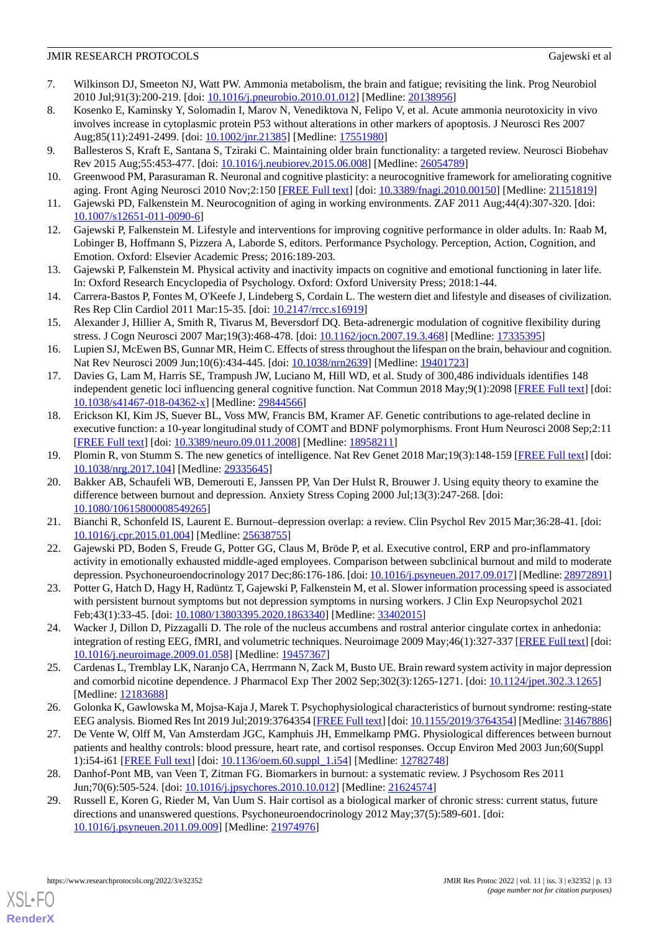- <span id="page-12-0"></span>7. Wilkinson DJ, Smeeton NJ, Watt PW. Ammonia metabolism, the brain and fatigue; revisiting the link. Prog Neurobiol 2010 Jul;91(3):200-219. [doi: [10.1016/j.pneurobio.2010.01.012](http://dx.doi.org/10.1016/j.pneurobio.2010.01.012)] [Medline: [20138956](http://www.ncbi.nlm.nih.gov/entrez/query.fcgi?cmd=Retrieve&db=PubMed&list_uids=20138956&dopt=Abstract)]
- <span id="page-12-1"></span>8. Kosenko E, Kaminsky Y, Solomadin I, Marov N, Venediktova N, Felipo V, et al. Acute ammonia neurotoxicity in vivo involves increase in cytoplasmic protein P53 without alterations in other markers of apoptosis. J Neurosci Res 2007 Aug;85(11):2491-2499. [doi: [10.1002/jnr.21385](http://dx.doi.org/10.1002/jnr.21385)] [Medline: [17551980\]](http://www.ncbi.nlm.nih.gov/entrez/query.fcgi?cmd=Retrieve&db=PubMed&list_uids=17551980&dopt=Abstract)
- <span id="page-12-2"></span>9. Ballesteros S, Kraft E, Santana S, Tziraki C. Maintaining older brain functionality: a targeted review. Neurosci Biobehav Rev 2015 Aug;55:453-477. [doi: [10.1016/j.neubiorev.2015.06.008](http://dx.doi.org/10.1016/j.neubiorev.2015.06.008)] [Medline: [26054789\]](http://www.ncbi.nlm.nih.gov/entrez/query.fcgi?cmd=Retrieve&db=PubMed&list_uids=26054789&dopt=Abstract)
- 10. Greenwood PM, Parasuraman R. Neuronal and cognitive plasticity: a neurocognitive framework for ameliorating cognitive aging. Front Aging Neurosci 2010 Nov;2:150 [[FREE Full text](https://doi.org/10.3389/fnagi.2010.00150)] [doi: [10.3389/fnagi.2010.00150](http://dx.doi.org/10.3389/fnagi.2010.00150)] [Medline: [21151819](http://www.ncbi.nlm.nih.gov/entrez/query.fcgi?cmd=Retrieve&db=PubMed&list_uids=21151819&dopt=Abstract)]
- 11. Gajewski PD, Falkenstein M. Neurocognition of aging in working environments. ZAF 2011 Aug;44(4):307-320. [doi: [10.1007/s12651-011-0090-6\]](http://dx.doi.org/10.1007/s12651-011-0090-6)
- 12. Gajewski P, Falkenstein M. Lifestyle and interventions for improving cognitive performance in older adults. In: Raab M, Lobinger B, Hoffmann S, Pizzera A, Laborde S, editors. Performance Psychology. Perception, Action, Cognition, and Emotion. Oxford: Elsevier Academic Press; 2016:189-203.
- 13. Gajewski P, Falkenstein M. Physical activity and inactivity impacts on cognitive and emotional functioning in later life. In: Oxford Research Encyclopedia of Psychology. Oxford: Oxford University Press; 2018:1-44.
- 14. Carrera-Bastos P, Fontes M, O'Keefe J, Lindeberg S, Cordain L. The western diet and lifestyle and diseases of civilization. Res Rep Clin Cardiol 2011 Mar:15-35. [doi: [10.2147/rrcc.s16919\]](http://dx.doi.org/10.2147/rrcc.s16919)
- <span id="page-12-3"></span>15. Alexander J, Hillier A, Smith R, Tivarus M, Beversdorf DQ. Beta-adrenergic modulation of cognitive flexibility during stress. J Cogn Neurosci 2007 Mar;19(3):468-478. [doi: [10.1162/jocn.2007.19.3.468\]](http://dx.doi.org/10.1162/jocn.2007.19.3.468) [Medline: [17335395](http://www.ncbi.nlm.nih.gov/entrez/query.fcgi?cmd=Retrieve&db=PubMed&list_uids=17335395&dopt=Abstract)]
- <span id="page-12-4"></span>16. Lupien SJ, McEwen BS, Gunnar MR, Heim C. Effects of stress throughout the lifespan on the brain, behaviour and cognition. Nat Rev Neurosci 2009 Jun;10(6):434-445. [doi: [10.1038/nrn2639](http://dx.doi.org/10.1038/nrn2639)] [Medline: [19401723](http://www.ncbi.nlm.nih.gov/entrez/query.fcgi?cmd=Retrieve&db=PubMed&list_uids=19401723&dopt=Abstract)]
- <span id="page-12-5"></span>17. Davies G, Lam M, Harris SE, Trampush JW, Luciano M, Hill WD, et al. Study of 300,486 individuals identifies 148 independent genetic loci influencing general cognitive function. Nat Commun 2018 May;9(1):2098 [\[FREE Full text](https://doi.org/10.1038/s41467-018-04362-x)] [doi: [10.1038/s41467-018-04362-x\]](http://dx.doi.org/10.1038/s41467-018-04362-x) [Medline: [29844566\]](http://www.ncbi.nlm.nih.gov/entrez/query.fcgi?cmd=Retrieve&db=PubMed&list_uids=29844566&dopt=Abstract)
- <span id="page-12-7"></span><span id="page-12-6"></span>18. Erickson KI, Kim JS, Suever BL, Voss MW, Francis BM, Kramer AF. Genetic contributions to age-related decline in executive function: a 10-year longitudinal study of COMT and BDNF polymorphisms. Front Hum Neurosci 2008 Sep;2:11 [[FREE Full text](https://doi.org/10.3389/neuro.09.011.2008)] [doi: [10.3389/neuro.09.011.2008](http://dx.doi.org/10.3389/neuro.09.011.2008)] [Medline: [18958211\]](http://www.ncbi.nlm.nih.gov/entrez/query.fcgi?cmd=Retrieve&db=PubMed&list_uids=18958211&dopt=Abstract)
- 19. Plomin R, von Stumm S. The new genetics of intelligence. Nat Rev Genet 2018 Mar;19(3):148-159 [\[FREE Full text](http://europepmc.org/abstract/MED/29335645)] [doi: [10.1038/nrg.2017.104\]](http://dx.doi.org/10.1038/nrg.2017.104) [Medline: [29335645\]](http://www.ncbi.nlm.nih.gov/entrez/query.fcgi?cmd=Retrieve&db=PubMed&list_uids=29335645&dopt=Abstract)
- <span id="page-12-9"></span><span id="page-12-8"></span>20. Bakker AB, Schaufeli WB, Demerouti E, Janssen PP, Van Der Hulst R, Brouwer J. Using equity theory to examine the difference between burnout and depression. Anxiety Stress Coping 2000 Jul;13(3):247-268. [doi: [10.1080/10615800008549265\]](http://dx.doi.org/10.1080/10615800008549265)
- <span id="page-12-10"></span>21. Bianchi R, Schonfeld IS, Laurent E. Burnout–depression overlap: a review. Clin Psychol Rev 2015 Mar;36:28-41. [doi: [10.1016/j.cpr.2015.01.004\]](http://dx.doi.org/10.1016/j.cpr.2015.01.004) [Medline: [25638755\]](http://www.ncbi.nlm.nih.gov/entrez/query.fcgi?cmd=Retrieve&db=PubMed&list_uids=25638755&dopt=Abstract)
- <span id="page-12-11"></span>22. Gajewski PD, Boden S, Freude G, Potter GG, Claus M, Bröde P, et al. Executive control, ERP and pro-inflammatory activity in emotionally exhausted middle-aged employees. Comparison between subclinical burnout and mild to moderate depression. Psychoneuroendocrinology 2017 Dec;86:176-186. [doi: [10.1016/j.psyneuen.2017.09.017\]](http://dx.doi.org/10.1016/j.psyneuen.2017.09.017) [Medline: [28972891\]](http://www.ncbi.nlm.nih.gov/entrez/query.fcgi?cmd=Retrieve&db=PubMed&list_uids=28972891&dopt=Abstract)
- <span id="page-12-12"></span>23. Potter G, Hatch D, Hagy H, Radüntz T, Gajewski P, Falkenstein M, et al. Slower information processing speed is associated with persistent burnout symptoms but not depression symptoms in nursing workers. J Clin Exp Neuropsychol 2021 Feb;43(1):33-45. [doi: [10.1080/13803395.2020.1863340\]](http://dx.doi.org/10.1080/13803395.2020.1863340) [Medline: [33402015\]](http://www.ncbi.nlm.nih.gov/entrez/query.fcgi?cmd=Retrieve&db=PubMed&list_uids=33402015&dopt=Abstract)
- <span id="page-12-13"></span>24. Wacker J, Dillon D, Pizzagalli D. The role of the nucleus accumbens and rostral anterior cingulate cortex in anhedonia: integration of resting EEG, fMRI, and volumetric techniques. Neuroimage 2009 May;46(1):327-337 [[FREE Full text](http://europepmc.org/abstract/MED/19457367)] [doi: [10.1016/j.neuroimage.2009.01.058\]](http://dx.doi.org/10.1016/j.neuroimage.2009.01.058) [Medline: [19457367\]](http://www.ncbi.nlm.nih.gov/entrez/query.fcgi?cmd=Retrieve&db=PubMed&list_uids=19457367&dopt=Abstract)
- <span id="page-12-14"></span>25. Cardenas L, Tremblay LK, Naranjo CA, Herrmann N, Zack M, Busto UE. Brain reward system activity in major depression and comorbid nicotine dependence. J Pharmacol Exp Ther 2002 Sep;302(3):1265-1271. [doi: [10.1124/jpet.302.3.1265](http://dx.doi.org/10.1124/jpet.302.3.1265)] [Medline: [12183688](http://www.ncbi.nlm.nih.gov/entrez/query.fcgi?cmd=Retrieve&db=PubMed&list_uids=12183688&dopt=Abstract)]
- <span id="page-12-15"></span>26. Golonka K, Gawlowska M, Mojsa-Kaja J, Marek T. Psychophysiological characteristics of burnout syndrome: resting-state EEG analysis. Biomed Res Int 2019 Jul;2019:3764354 [\[FREE Full text](https://doi.org/10.1155/2019/3764354)] [doi: [10.1155/2019/3764354](http://dx.doi.org/10.1155/2019/3764354)] [Medline: [31467886\]](http://www.ncbi.nlm.nih.gov/entrez/query.fcgi?cmd=Retrieve&db=PubMed&list_uids=31467886&dopt=Abstract)
- <span id="page-12-16"></span>27. De Vente W, Olff M, Van Amsterdam JGC, Kamphuis JH, Emmelkamp PMG. Physiological differences between burnout patients and healthy controls: blood pressure, heart rate, and cortisol responses. Occup Environ Med 2003 Jun;60(Suppl 1):i54-i61 [\[FREE Full text\]](https://oem.bmj.com/lookup/pmidlookup?view=long&pmid=12782748) [doi: [10.1136/oem.60.suppl\\_1.i54](http://dx.doi.org/10.1136/oem.60.suppl_1.i54)] [Medline: [12782748](http://www.ncbi.nlm.nih.gov/entrez/query.fcgi?cmd=Retrieve&db=PubMed&list_uids=12782748&dopt=Abstract)]
- 28. Danhof-Pont MB, van Veen T, Zitman FG. Biomarkers in burnout: a systematic review. J Psychosom Res 2011 Jun;70(6):505-524. [doi: [10.1016/j.jpsychores.2010.10.012](http://dx.doi.org/10.1016/j.jpsychores.2010.10.012)] [Medline: [21624574\]](http://www.ncbi.nlm.nih.gov/entrez/query.fcgi?cmd=Retrieve&db=PubMed&list_uids=21624574&dopt=Abstract)
- 29. Russell E, Koren G, Rieder M, Van Uum S. Hair cortisol as a biological marker of chronic stress: current status, future directions and unanswered questions. Psychoneuroendocrinology 2012 May;37(5):589-601. [doi: [10.1016/j.psyneuen.2011.09.009](http://dx.doi.org/10.1016/j.psyneuen.2011.09.009)] [Medline: [21974976](http://www.ncbi.nlm.nih.gov/entrez/query.fcgi?cmd=Retrieve&db=PubMed&list_uids=21974976&dopt=Abstract)]

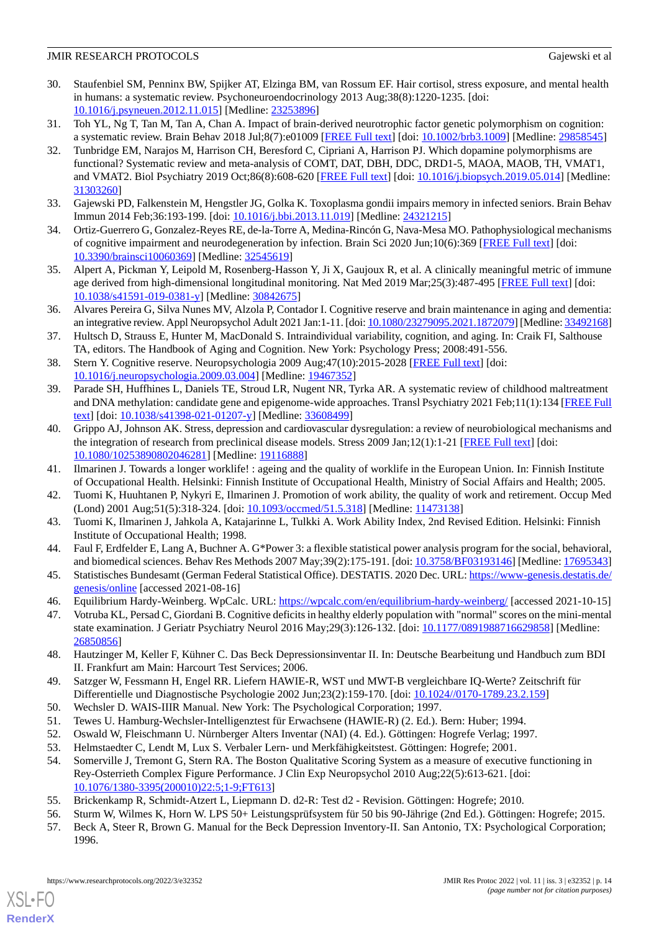- <span id="page-13-0"></span>30. Staufenbiel SM, Penninx BW, Spijker AT, Elzinga BM, van Rossum EF. Hair cortisol, stress exposure, and mental health in humans: a systematic review. Psychoneuroendocrinology 2013 Aug;38(8):1220-1235. [doi: [10.1016/j.psyneuen.2012.11.015](http://dx.doi.org/10.1016/j.psyneuen.2012.11.015)] [Medline: [23253896](http://www.ncbi.nlm.nih.gov/entrez/query.fcgi?cmd=Retrieve&db=PubMed&list_uids=23253896&dopt=Abstract)]
- <span id="page-13-2"></span><span id="page-13-1"></span>31. Toh YL, Ng T, Tan M, Tan A, Chan A. Impact of brain-derived neurotrophic factor genetic polymorphism on cognition: a systematic review. Brain Behav 2018 Jul;8(7):e01009 [[FREE Full text\]](https://doi.org/10.1002/brb3.1009) [doi: [10.1002/brb3.1009](http://dx.doi.org/10.1002/brb3.1009)] [Medline: [29858545\]](http://www.ncbi.nlm.nih.gov/entrez/query.fcgi?cmd=Retrieve&db=PubMed&list_uids=29858545&dopt=Abstract)
- 32. Tunbridge EM, Narajos M, Harrison CH, Beresford C, Cipriani A, Harrison PJ. Which dopamine polymorphisms are functional? Systematic review and meta-analysis of COMT, DAT, DBH, DDC, DRD1-5, MAOA, MAOB, TH, VMAT1, and VMAT2. Biol Psychiatry 2019 Oct;86(8):608-620 [[FREE Full text\]](https://linkinghub.elsevier.com/retrieve/pii/S0006-3223(19)31383-6) [doi: [10.1016/j.biopsych.2019.05.014](http://dx.doi.org/10.1016/j.biopsych.2019.05.014)] [Medline: [31303260](http://www.ncbi.nlm.nih.gov/entrez/query.fcgi?cmd=Retrieve&db=PubMed&list_uids=31303260&dopt=Abstract)]
- <span id="page-13-4"></span><span id="page-13-3"></span>33. Gajewski PD, Falkenstein M, Hengstler JG, Golka K. Toxoplasma gondii impairs memory in infected seniors. Brain Behav Immun 2014 Feb;36:193-199. [doi: [10.1016/j.bbi.2013.11.019](http://dx.doi.org/10.1016/j.bbi.2013.11.019)] [Medline: [24321215](http://www.ncbi.nlm.nih.gov/entrez/query.fcgi?cmd=Retrieve&db=PubMed&list_uids=24321215&dopt=Abstract)]
- <span id="page-13-5"></span>34. Ortiz-Guerrero G, Gonzalez-Reyes RE, de-la-Torre A, Medina-Rincón G, Nava-Mesa MO. Pathophysiological mechanisms of cognitive impairment and neurodegeneration by infection. Brain Sci 2020 Jun;10(6):369 [\[FREE Full text\]](https://www.mdpi.com/resolver?pii=brainsci10060369) [doi: [10.3390/brainsci10060369\]](http://dx.doi.org/10.3390/brainsci10060369) [Medline: [32545619](http://www.ncbi.nlm.nih.gov/entrez/query.fcgi?cmd=Retrieve&db=PubMed&list_uids=32545619&dopt=Abstract)]
- <span id="page-13-6"></span>35. Alpert A, Pickman Y, Leipold M, Rosenberg-Hasson Y, Ji X, Gaujoux R, et al. A clinically meaningful metric of immune age derived from high-dimensional longitudinal monitoring. Nat Med 2019 Mar;25(3):487-495 [\[FREE Full text\]](http://europepmc.org/abstract/MED/30842675) [doi: [10.1038/s41591-019-0381-y\]](http://dx.doi.org/10.1038/s41591-019-0381-y) [Medline: [30842675](http://www.ncbi.nlm.nih.gov/entrez/query.fcgi?cmd=Retrieve&db=PubMed&list_uids=30842675&dopt=Abstract)]
- <span id="page-13-7"></span>36. Alvares Pereira G, Silva Nunes MV, Alzola P, Contador I. Cognitive reserve and brain maintenance in aging and dementia: an integrative review. Appl Neuropsychol Adult 2021 Jan:1-11. [doi: [10.1080/23279095.2021.1872079\]](http://dx.doi.org/10.1080/23279095.2021.1872079) [Medline: [33492168\]](http://www.ncbi.nlm.nih.gov/entrez/query.fcgi?cmd=Retrieve&db=PubMed&list_uids=33492168&dopt=Abstract)
- <span id="page-13-8"></span>37. Hultsch D, Strauss E, Hunter M, MacDonald S. Intraindividual variability, cognition, and aging. In: Craik FI, Salthouse TA, editors. The Handbook of Aging and Cognition. New York: Psychology Press; 2008:491-556.
- <span id="page-13-9"></span>38. Stern Y. Cognitive reserve. Neuropsychologia 2009 Aug;47(10):2015-2028 [\[FREE Full text\]](http://europepmc.org/abstract/MED/19467352) [doi: [10.1016/j.neuropsychologia.2009.03.004\]](http://dx.doi.org/10.1016/j.neuropsychologia.2009.03.004) [Medline: [19467352](http://www.ncbi.nlm.nih.gov/entrez/query.fcgi?cmd=Retrieve&db=PubMed&list_uids=19467352&dopt=Abstract)]
- <span id="page-13-10"></span>39. Parade SH, Huffhines L, Daniels TE, Stroud LR, Nugent NR, Tyrka AR. A systematic review of childhood maltreatment and DNA methylation: candidate gene and epigenome-wide approaches. Transl Psychiatry 2021 Feb;11(1):134 [\[FREE Full](https://doi.org/10.1038/s41398-021-01207-y) [text](https://doi.org/10.1038/s41398-021-01207-y)] [doi: [10.1038/s41398-021-01207-y\]](http://dx.doi.org/10.1038/s41398-021-01207-y) [Medline: [33608499\]](http://www.ncbi.nlm.nih.gov/entrez/query.fcgi?cmd=Retrieve&db=PubMed&list_uids=33608499&dopt=Abstract)
- <span id="page-13-12"></span><span id="page-13-11"></span>40. Grippo AJ, Johnson AK. Stress, depression and cardiovascular dysregulation: a review of neurobiological mechanisms and the integration of research from preclinical disease models. Stress 2009 Jan;12(1):1-21 [\[FREE Full text\]](http://europepmc.org/abstract/MED/19116888) [doi: [10.1080/10253890802046281\]](http://dx.doi.org/10.1080/10253890802046281) [Medline: [19116888\]](http://www.ncbi.nlm.nih.gov/entrez/query.fcgi?cmd=Retrieve&db=PubMed&list_uids=19116888&dopt=Abstract)
- <span id="page-13-13"></span>41. Ilmarinen J. Towards a longer worklife! : ageing and the quality of worklife in the European Union. In: Finnish Institute of Occupational Health. Helsinki: Finnish Institute of Occupational Health, Ministry of Social Affairs and Health; 2005.
- <span id="page-13-14"></span>42. Tuomi K, Huuhtanen P, Nykyri E, Ilmarinen J. Promotion of work ability, the quality of work and retirement. Occup Med (Lond) 2001 Aug;51(5):318-324. [doi: [10.1093/occmed/51.5.318\]](http://dx.doi.org/10.1093/occmed/51.5.318) [Medline: [11473138](http://www.ncbi.nlm.nih.gov/entrez/query.fcgi?cmd=Retrieve&db=PubMed&list_uids=11473138&dopt=Abstract)]
- <span id="page-13-15"></span>43. Tuomi K, Ilmarinen J, Jahkola A, Katajarinne L, Tulkki A. Work Ability Index, 2nd Revised Edition. Helsinki: Finnish Institute of Occupational Health; 1998.
- <span id="page-13-17"></span><span id="page-13-16"></span>44. Faul F, Erdfelder E, Lang A, Buchner A. G\*Power 3: a flexible statistical power analysis program for the social, behavioral, and biomedical sciences. Behav Res Methods 2007 May;39(2):175-191. [doi: [10.3758/BF03193146\]](http://dx.doi.org/10.3758/BF03193146) [Medline: [17695343](http://www.ncbi.nlm.nih.gov/entrez/query.fcgi?cmd=Retrieve&db=PubMed&list_uids=17695343&dopt=Abstract)]
- 45. Statistisches Bundesamt (German Federal Statistical Office). DESTATIS. 2020 Dec. URL: [https://www-genesis.destatis.de/](https://www-genesis.destatis.de/genesis/online) [genesis/online](https://www-genesis.destatis.de/genesis/online) [accessed 2021-08-16]
- <span id="page-13-18"></span>46. Equilibrium Hardy-Weinberg. WpCalc. URL:<https://wpcalc.com/en/equilibrium-hardy-weinberg/> [accessed 2021-10-15]
- <span id="page-13-19"></span>47. Votruba KL, Persad C, Giordani B. Cognitive deficits in healthy elderly population with "normal" scores on the mini-mental state examination. J Geriatr Psychiatry Neurol 2016 May;29(3):126-132. [doi: [10.1177/0891988716629858\]](http://dx.doi.org/10.1177/0891988716629858) [Medline: [26850856](http://www.ncbi.nlm.nih.gov/entrez/query.fcgi?cmd=Retrieve&db=PubMed&list_uids=26850856&dopt=Abstract)]
- <span id="page-13-22"></span><span id="page-13-21"></span><span id="page-13-20"></span>48. Hautzinger M, Keller F, Kühner C. Das Beck Depressionsinventar II. In: Deutsche Bearbeitung und Handbuch zum BDI II. Frankfurt am Main: Harcourt Test Services; 2006.
- <span id="page-13-24"></span><span id="page-13-23"></span>49. Satzger W, Fessmann H, Engel RR. Liefern HAWIE-R, WST und MWT-B vergleichbare IQ-Werte? Zeitschrift für Differentielle und Diagnostische Psychologie 2002 Jun;23(2):159-170. [doi: [10.1024//0170-1789.23.2.159\]](http://dx.doi.org/10.1024//0170-1789.23.2.159)
- 50. Wechsler D. WAIS-IIIR Manual. New York: The Psychological Corporation; 1997.
- <span id="page-13-25"></span>51. Tewes U. Hamburg-Wechsler-Intelligenztest für Erwachsene (HAWIE-R) (2. Ed.). Bern: Huber; 1994.
- <span id="page-13-26"></span>52. Oswald W, Fleischmann U. Nürnberger Alters Inventar (NAI) (4. Ed.). Göttingen: Hogrefe Verlag; 1997.
- <span id="page-13-27"></span>53. Helmstaedter C, Lendt M, Lux S. Verbaler Lern- und Merkfähigkeitstest. Göttingen: Hogrefe; 2001.
- 54. Somerville J, Tremont G, Stern RA. The Boston Qualitative Scoring System as a measure of executive functioning in Rey-Osterrieth Complex Figure Performance. J Clin Exp Neuropsychol 2010 Aug;22(5):613-621. [doi: [10.1076/1380-3395\(200010\)22:5;1-9;FT613](http://dx.doi.org/10.1076/1380-3395(200010)22:5;1-9;FT613)]
- 55. Brickenkamp R, Schmidt-Atzert L, Liepmann D. d2-R: Test d2 Revision. Göttingen: Hogrefe; 2010.
- 56. Sturm W, Wilmes K, Horn W. LPS 50+ Leistungsprüfsystem für 50 bis 90-Jährige (2nd Ed.). Göttingen: Hogrefe; 2015.
- 57. Beck A, Steer R, Brown G. Manual for the Beck Depression Inventory-II. San Antonio, TX: Psychological Corporation; 1996.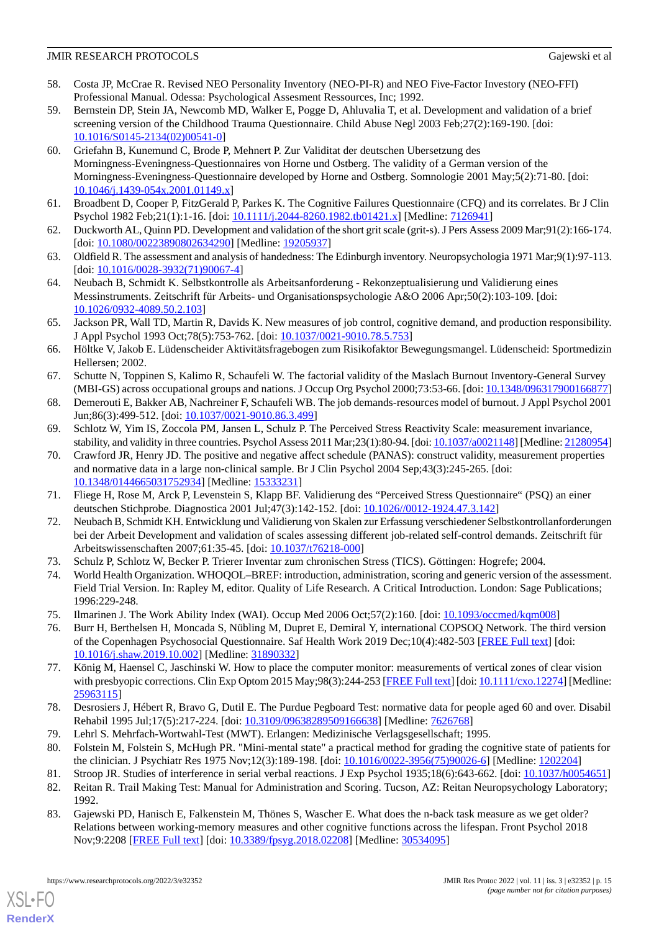- <span id="page-14-0"></span>58. Costa JP, McCrae R. Revised NEO Personality Inventory (NEO-PI-R) and NEO Five-Factor Investory (NEO-FFI) Professional Manual. Odessa: Psychological Assesment Ressources, Inc; 1992.
- <span id="page-14-1"></span>59. Bernstein DP, Stein JA, Newcomb MD, Walker E, Pogge D, Ahluvalia T, et al. Development and validation of a brief screening version of the Childhood Trauma Questionnaire. Child Abuse Negl 2003 Feb;27(2):169-190. [doi: [10.1016/S0145-2134\(02\)00541-0\]](http://dx.doi.org/10.1016/S0145-2134(02)00541-0)
- <span id="page-14-2"></span>60. Griefahn B, Kunemund C, Brode P, Mehnert P. Zur Validitat der deutschen Ubersetzung des Morningness-Eveningness-Questionnaires von Horne und Ostberg. The validity of a German version of the Morningness-Eveningness-Questionnaire developed by Horne and Ostberg. Somnologie 2001 May;5(2):71-80. [doi: [10.1046/j.1439-054x.2001.01149.x\]](http://dx.doi.org/10.1046/j.1439-054x.2001.01149.x)
- <span id="page-14-4"></span><span id="page-14-3"></span>61. Broadbent D, Cooper P, FitzGerald P, Parkes K. The Cognitive Failures Questionnaire (CFQ) and its correlates. Br J Clin Psychol 1982 Feb;21(1):1-16. [doi: [10.1111/j.2044-8260.1982.tb01421.x](http://dx.doi.org/10.1111/j.2044-8260.1982.tb01421.x)] [Medline: [7126941](http://www.ncbi.nlm.nih.gov/entrez/query.fcgi?cmd=Retrieve&db=PubMed&list_uids=7126941&dopt=Abstract)]
- <span id="page-14-5"></span>62. Duckworth AL, Quinn PD. Development and validation of the short grit scale (grit-s). J Pers Assess 2009 Mar;91(2):166-174. [doi: [10.1080/00223890802634290](http://dx.doi.org/10.1080/00223890802634290)] [Medline: [19205937\]](http://www.ncbi.nlm.nih.gov/entrez/query.fcgi?cmd=Retrieve&db=PubMed&list_uids=19205937&dopt=Abstract)
- <span id="page-14-6"></span>63. Oldfield R. The assessment and analysis of handedness: The Edinburgh inventory. Neuropsychologia 1971 Mar;9(1):97-113. [doi: [10.1016/0028-3932\(71\)90067-4](http://dx.doi.org/10.1016/0028-3932(71)90067-4)]
- <span id="page-14-7"></span>64. Neubach B, Schmidt K. Selbstkontrolle als Arbeitsanforderung - Rekonzeptualisierung und Validierung eines Messinstruments. Zeitschrift für Arbeits- und Organisationspsychologie A&O 2006 Apr;50(2):103-109. [doi: [10.1026/0932-4089.50.2.103\]](http://dx.doi.org/10.1026/0932-4089.50.2.103)
- <span id="page-14-8"></span>65. Jackson PR, Wall TD, Martin R, Davids K. New measures of job control, cognitive demand, and production responsibility. J Appl Psychol 1993 Oct;78(5):753-762. [doi: [10.1037/0021-9010.78.5.753\]](http://dx.doi.org/10.1037/0021-9010.78.5.753)
- <span id="page-14-9"></span>66. Höltke V, Jakob E. Lüdenscheider Aktivitätsfragebogen zum Risikofaktor Bewegungsmangel. Lüdenscheid: Sportmedizin Hellersen; 2002.
- <span id="page-14-11"></span><span id="page-14-10"></span>67. Schutte N, Toppinen S, Kalimo R, Schaufeli W. The factorial validity of the Maslach Burnout Inventory-General Survey (MBI-GS) across occupational groups and nations. J Occup Org Psychol 2000;73:53-66. [doi: [10.1348/096317900166877](http://dx.doi.org/10.1348/096317900166877)]
- <span id="page-14-12"></span>68. Demerouti E, Bakker AB, Nachreiner F, Schaufeli WB. The job demands-resources model of burnout. J Appl Psychol 2001 Jun;86(3):499-512. [doi: [10.1037/0021-9010.86.3.499\]](http://dx.doi.org/10.1037/0021-9010.86.3.499)
- 69. Schlotz W, Yim IS, Zoccola PM, Jansen L, Schulz P. The Perceived Stress Reactivity Scale: measurement invariance, stability, and validity in three countries. Psychol Assess 2011 Mar;23(1):80-94. [doi: [10.1037/a0021148\]](http://dx.doi.org/10.1037/a0021148) [Medline: [21280954](http://www.ncbi.nlm.nih.gov/entrez/query.fcgi?cmd=Retrieve&db=PubMed&list_uids=21280954&dopt=Abstract)]
- <span id="page-14-14"></span><span id="page-14-13"></span>70. Crawford JR, Henry JD. The positive and negative affect schedule (PANAS): construct validity, measurement properties and normative data in a large non-clinical sample. Br J Clin Psychol 2004 Sep;43(3):245-265. [doi: [10.1348/0144665031752934\]](http://dx.doi.org/10.1348/0144665031752934) [Medline: [15333231\]](http://www.ncbi.nlm.nih.gov/entrez/query.fcgi?cmd=Retrieve&db=PubMed&list_uids=15333231&dopt=Abstract)
- <span id="page-14-15"></span>71. Fliege H, Rose M, Arck P, Levenstein S, Klapp BF. Validierung des "Perceived Stress Questionnaire" (PSQ) an einer deutschen Stichprobe. Diagnostica 2001 Jul;47(3):142-152. [doi: [10.1026//0012-1924.47.3.142\]](http://dx.doi.org/10.1026//0012-1924.47.3.142)
- <span id="page-14-16"></span>72. Neubach B, Schmidt KH. Entwicklung und Validierung von Skalen zur Erfassung verschiedener Selbstkontrollanforderungen bei der Arbeit Development and validation of scales assessing different job-related self-control demands. Zeitschrift für Arbeitswissenschaften 2007;61:35-45. [doi: [10.1037/t76218-000\]](http://dx.doi.org/10.1037/t76218-000)
- <span id="page-14-18"></span><span id="page-14-17"></span>73. Schulz P, Schlotz W, Becker P. Trierer Inventar zum chronischen Stress (TICS). Göttingen: Hogrefe; 2004.
- 74. World Health Organization. WHOQOL–BREF: introduction, administration, scoring and generic version of the assessment. Field Trial Version. In: Rapley M, editor. Quality of Life Research. A Critical Introduction. London: Sage Publications; 1996:229-248.
- <span id="page-14-19"></span>75. Ilmarinen J. The Work Ability Index (WAI). Occup Med 2006 Oct;57(2):160. [doi: [10.1093/occmed/kqm008\]](http://dx.doi.org/10.1093/occmed/kqm008)
- <span id="page-14-20"></span>76. Burr H, Berthelsen H, Moncada S, Nübling M, Dupret E, Demiral Y, international COPSOQ Network. The third version of the Copenhagen Psychosocial Questionnaire. Saf Health Work 2019 Dec;10(4):482-503 [[FREE Full text](https://linkinghub.elsevier.com/retrieve/pii/S2093-7911(18)30272-5)] [doi: [10.1016/j.shaw.2019.10.002](http://dx.doi.org/10.1016/j.shaw.2019.10.002)] [Medline: [31890332](http://www.ncbi.nlm.nih.gov/entrez/query.fcgi?cmd=Retrieve&db=PubMed&list_uids=31890332&dopt=Abstract)]
- <span id="page-14-22"></span><span id="page-14-21"></span>77. König M, Haensel C, Jaschinski W. How to place the computer monitor: measurements of vertical zones of clear vision with presbyopic corrections. Clin Exp Optom 2015 May;98(3):244-253 [\[FREE Full text](https://doi.org/10.1111/cxo.12274)] [doi: [10.1111/cxo.12274\]](http://dx.doi.org/10.1111/cxo.12274) [Medline: [25963115](http://www.ncbi.nlm.nih.gov/entrez/query.fcgi?cmd=Retrieve&db=PubMed&list_uids=25963115&dopt=Abstract)]
- <span id="page-14-24"></span><span id="page-14-23"></span>78. Desrosiers J, Hébert R, Bravo G, Dutil E. The Purdue Pegboard Test: normative data for people aged 60 and over. Disabil Rehabil 1995 Jul;17(5):217-224. [doi: [10.3109/09638289509166638\]](http://dx.doi.org/10.3109/09638289509166638) [Medline: [7626768](http://www.ncbi.nlm.nih.gov/entrez/query.fcgi?cmd=Retrieve&db=PubMed&list_uids=7626768&dopt=Abstract)]
- <span id="page-14-25"></span>79. Lehrl S. Mehrfach-Wortwahl-Test (MWT). Erlangen: Medizinische Verlagsgesellschaft; 1995.
- 80. Folstein M, Folstein S, McHugh PR. "Mini-mental state" a practical method for grading the cognitive state of patients for the clinician. J Psychiatr Res 1975 Nov;12(3):189-198. [doi: [10.1016/0022-3956\(75\)90026-6](http://dx.doi.org/10.1016/0022-3956(75)90026-6)] [Medline: [1202204](http://www.ncbi.nlm.nih.gov/entrez/query.fcgi?cmd=Retrieve&db=PubMed&list_uids=1202204&dopt=Abstract)]
- 81. Stroop JR. Studies of interference in serial verbal reactions. J Exp Psychol 1935;18(6):643-662. [doi: [10.1037/h0054651](http://dx.doi.org/10.1037/h0054651)]
- 82. Reitan R. Trail Making Test: Manual for Administration and Scoring. Tucson, AZ: Reitan Neuropsychology Laboratory; 1992.
- 83. Gajewski PD, Hanisch E, Falkenstein M, Thönes S, Wascher E. What does the n-back task measure as we get older? Relations between working-memory measures and other cognitive functions across the lifespan. Front Psychol 2018 Nov;9:2208 [[FREE Full text](https://doi.org/10.3389/fpsyg.2018.02208)] [doi: [10.3389/fpsyg.2018.02208](http://dx.doi.org/10.3389/fpsyg.2018.02208)] [Medline: [30534095\]](http://www.ncbi.nlm.nih.gov/entrez/query.fcgi?cmd=Retrieve&db=PubMed&list_uids=30534095&dopt=Abstract)

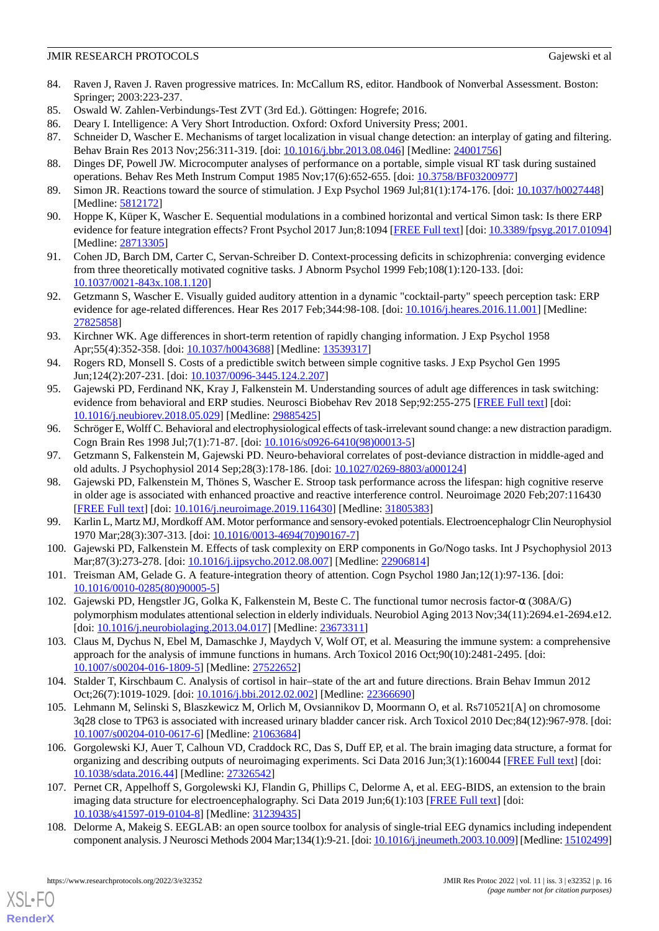- <span id="page-15-0"></span>84. Raven J, Raven J. Raven progressive matrices. In: McCallum RS, editor. Handbook of Nonverbal Assessment. Boston: Springer; 2003:223-237.
- <span id="page-15-2"></span><span id="page-15-1"></span>85. Oswald W. Zahlen-Verbindungs-Test ZVT (3rd Ed.). Göttingen: Hogrefe; 2016.
- <span id="page-15-3"></span>86. Deary I. Intelligence: A Very Short Introduction. Oxford: Oxford University Press; 2001.
- <span id="page-15-4"></span>87. Schneider D, Wascher E. Mechanisms of target localization in visual change detection: an interplay of gating and filtering. Behav Brain Res 2013 Nov;256:311-319. [doi: [10.1016/j.bbr.2013.08.046](http://dx.doi.org/10.1016/j.bbr.2013.08.046)] [Medline: [24001756](http://www.ncbi.nlm.nih.gov/entrez/query.fcgi?cmd=Retrieve&db=PubMed&list_uids=24001756&dopt=Abstract)]
- <span id="page-15-5"></span>88. Dinges DF, Powell JW. Microcomputer analyses of performance on a portable, simple visual RT task during sustained operations. Behav Res Meth Instrum Comput 1985 Nov;17(6):652-655. [doi: [10.3758/BF03200977](http://dx.doi.org/10.3758/BF03200977)]
- <span id="page-15-6"></span>89. Simon JR. Reactions toward the source of stimulation. J Exp Psychol 1969 Jul;81(1):174-176. [doi: [10.1037/h0027448](http://dx.doi.org/10.1037/h0027448)] [Medline: [5812172\]](http://www.ncbi.nlm.nih.gov/entrez/query.fcgi?cmd=Retrieve&db=PubMed&list_uids=5812172&dopt=Abstract)
- <span id="page-15-7"></span>90. Hoppe K, Küper K, Wascher E. Sequential modulations in a combined horizontal and vertical Simon task: Is there ERP evidence for feature integration effects? Front Psychol 2017 Jun;8:1094 [[FREE Full text](https://doi.org/10.3389/fpsyg.2017.01094)] [doi: [10.3389/fpsyg.2017.01094](http://dx.doi.org/10.3389/fpsyg.2017.01094)] [Medline: [28713305](http://www.ncbi.nlm.nih.gov/entrez/query.fcgi?cmd=Retrieve&db=PubMed&list_uids=28713305&dopt=Abstract)]
- <span id="page-15-8"></span>91. Cohen JD, Barch DM, Carter C, Servan-Schreiber D. Context-processing deficits in schizophrenia: converging evidence from three theoretically motivated cognitive tasks. J Abnorm Psychol 1999 Feb;108(1):120-133. [doi: [10.1037/0021-843x.108.1.120\]](http://dx.doi.org/10.1037/0021-843x.108.1.120)
- <span id="page-15-9"></span>92. Getzmann S, Wascher E. Visually guided auditory attention in a dynamic "cocktail-party" speech perception task: ERP evidence for age-related differences. Hear Res 2017 Feb;344:98-108. [doi: [10.1016/j.heares.2016.11.001](http://dx.doi.org/10.1016/j.heares.2016.11.001)] [Medline: [27825858](http://www.ncbi.nlm.nih.gov/entrez/query.fcgi?cmd=Retrieve&db=PubMed&list_uids=27825858&dopt=Abstract)]
- <span id="page-15-10"></span>93. Kirchner WK. Age differences in short-term retention of rapidly changing information. J Exp Psychol 1958 Apr; 55(4): 352-358. [doi: [10.1037/h0043688](http://dx.doi.org/10.1037/h0043688)] [Medline: [13539317](http://www.ncbi.nlm.nih.gov/entrez/query.fcgi?cmd=Retrieve&db=PubMed&list_uids=13539317&dopt=Abstract)]
- <span id="page-15-11"></span>94. Rogers RD, Monsell S. Costs of a predictible switch between simple cognitive tasks. J Exp Psychol Gen 1995 Jun;124(2):207-231. [doi: [10.1037/0096-3445.124.2.207\]](http://dx.doi.org/10.1037/0096-3445.124.2.207)
- <span id="page-15-12"></span>95. Gajewski PD, Ferdinand NK, Kray J, Falkenstein M. Understanding sources of adult age differences in task switching: evidence from behavioral and ERP studies. Neurosci Biobehav Rev 2018 Sep;92:255-275 [\[FREE Full text\]](https://linkinghub.elsevier.com/retrieve/pii/S0149-7634(17)30395-0) [doi: [10.1016/j.neubiorev.2018.05.029\]](http://dx.doi.org/10.1016/j.neubiorev.2018.05.029) [Medline: [29885425](http://www.ncbi.nlm.nih.gov/entrez/query.fcgi?cmd=Retrieve&db=PubMed&list_uids=29885425&dopt=Abstract)]
- <span id="page-15-14"></span><span id="page-15-13"></span>96. Schröger E, Wolff C. Behavioral and electrophysiological effects of task-irrelevant sound change: a new distraction paradigm. Cogn Brain Res 1998 Jul;7(1):71-87. [doi: [10.1016/s0926-6410\(98\)00013-5\]](http://dx.doi.org/10.1016/s0926-6410(98)00013-5)
- 97. Getzmann S, Falkenstein M, Gajewski PD. Neuro-behavioral correlates of post-deviance distraction in middle-aged and old adults. J Psychophysiol 2014 Sep;28(3):178-186. [doi: [10.1027/0269-8803/a000124](http://dx.doi.org/10.1027/0269-8803/a000124)]
- <span id="page-15-16"></span><span id="page-15-15"></span>98. Gajewski PD, Falkenstein M, Thönes S, Wascher E. Stroop task performance across the lifespan: high cognitive reserve in older age is associated with enhanced proactive and reactive interference control. Neuroimage 2020 Feb;207:116430 [[FREE Full text](https://linkinghub.elsevier.com/retrieve/pii/S1053-8119(19)31021-3)] [doi: [10.1016/j.neuroimage.2019.116430](http://dx.doi.org/10.1016/j.neuroimage.2019.116430)] [Medline: [31805383](http://www.ncbi.nlm.nih.gov/entrez/query.fcgi?cmd=Retrieve&db=PubMed&list_uids=31805383&dopt=Abstract)]
- <span id="page-15-17"></span>99. Karlin L, Martz MJ, Mordkoff AM. Motor performance and sensory-evoked potentials. Electroencephalogr Clin Neurophysiol 1970 Mar;28(3):307-313. [doi: [10.1016/0013-4694\(70\)90167-7](http://dx.doi.org/10.1016/0013-4694(70)90167-7)]
- <span id="page-15-18"></span>100. Gajewski PD, Falkenstein M. Effects of task complexity on ERP components in Go/Nogo tasks. Int J Psychophysiol 2013 Mar;87(3):273-278. [doi: [10.1016/j.ijpsycho.2012.08.007](http://dx.doi.org/10.1016/j.ijpsycho.2012.08.007)] [Medline: [22906814\]](http://www.ncbi.nlm.nih.gov/entrez/query.fcgi?cmd=Retrieve&db=PubMed&list_uids=22906814&dopt=Abstract)
- <span id="page-15-19"></span>101. Treisman AM, Gelade G. A feature-integration theory of attention. Cogn Psychol 1980 Jan;12(1):97-136. [doi: [10.1016/0010-0285\(80\)90005-5](http://dx.doi.org/10.1016/0010-0285(80)90005-5)]
- <span id="page-15-20"></span>102. Gajewski PD, Hengstler JG, Golka K, Falkenstein M, Beste C. The functional tumor necrosis factor-α (308A/G) polymorphism modulates attentional selection in elderly individuals. Neurobiol Aging 2013 Nov;34(11):2694.e1-2694.e12. [doi: [10.1016/j.neurobiolaging.2013.04.017\]](http://dx.doi.org/10.1016/j.neurobiolaging.2013.04.017) [Medline: [23673311](http://www.ncbi.nlm.nih.gov/entrez/query.fcgi?cmd=Retrieve&db=PubMed&list_uids=23673311&dopt=Abstract)]
- <span id="page-15-21"></span>103. Claus M, Dychus N, Ebel M, Damaschke J, Maydych V, Wolf OT, et al. Measuring the immune system: a comprehensive approach for the analysis of immune functions in humans. Arch Toxicol 2016 Oct;90(10):2481-2495. [doi: [10.1007/s00204-016-1809-5\]](http://dx.doi.org/10.1007/s00204-016-1809-5) [Medline: [27522652](http://www.ncbi.nlm.nih.gov/entrez/query.fcgi?cmd=Retrieve&db=PubMed&list_uids=27522652&dopt=Abstract)]
- <span id="page-15-22"></span>104. Stalder T, Kirschbaum C. Analysis of cortisol in hair–state of the art and future directions. Brain Behav Immun 2012 Oct;26(7):1019-1029. [doi: [10.1016/j.bbi.2012.02.002\]](http://dx.doi.org/10.1016/j.bbi.2012.02.002) [Medline: [22366690\]](http://www.ncbi.nlm.nih.gov/entrez/query.fcgi?cmd=Retrieve&db=PubMed&list_uids=22366690&dopt=Abstract)
- <span id="page-15-23"></span>105. Lehmann M, Selinski S, Blaszkewicz M, Orlich M, Ovsiannikov D, Moormann O, et al. Rs710521[A] on chromosome 3q28 close to TP63 is associated with increased urinary bladder cancer risk. Arch Toxicol 2010 Dec;84(12):967-978. [doi: [10.1007/s00204-010-0617-6\]](http://dx.doi.org/10.1007/s00204-010-0617-6) [Medline: [21063684](http://www.ncbi.nlm.nih.gov/entrez/query.fcgi?cmd=Retrieve&db=PubMed&list_uids=21063684&dopt=Abstract)]
- <span id="page-15-24"></span>106. Gorgolewski KJ, Auer T, Calhoun VD, Craddock RC, Das S, Duff EP, et al. The brain imaging data structure, a format for organizing and describing outputs of neuroimaging experiments. Sci Data 2016 Jun;3(1):160044 [\[FREE Full text\]](https://doi.org/10.1038/sdata.2016.44) [doi: [10.1038/sdata.2016.44](http://dx.doi.org/10.1038/sdata.2016.44)] [Medline: [27326542](http://www.ncbi.nlm.nih.gov/entrez/query.fcgi?cmd=Retrieve&db=PubMed&list_uids=27326542&dopt=Abstract)]
- 107. Pernet CR, Appelhoff S, Gorgolewski KJ, Flandin G, Phillips C, Delorme A, et al. EEG-BIDS, an extension to the brain imaging data structure for electroencephalography. Sci Data 2019 Jun;6(1):103 [\[FREE Full text\]](https://doi.org/10.1038/s41597-019-0104-8) [doi: [10.1038/s41597-019-0104-8\]](http://dx.doi.org/10.1038/s41597-019-0104-8) [Medline: [31239435](http://www.ncbi.nlm.nih.gov/entrez/query.fcgi?cmd=Retrieve&db=PubMed&list_uids=31239435&dopt=Abstract)]
- 108. Delorme A, Makeig S. EEGLAB: an open source toolbox for analysis of single-trial EEG dynamics including independent component analysis. J Neurosci Methods 2004 Mar;134(1):9-21. [doi: [10.1016/j.jneumeth.2003.10.009\]](http://dx.doi.org/10.1016/j.jneumeth.2003.10.009) [Medline: [15102499\]](http://www.ncbi.nlm.nih.gov/entrez/query.fcgi?cmd=Retrieve&db=PubMed&list_uids=15102499&dopt=Abstract)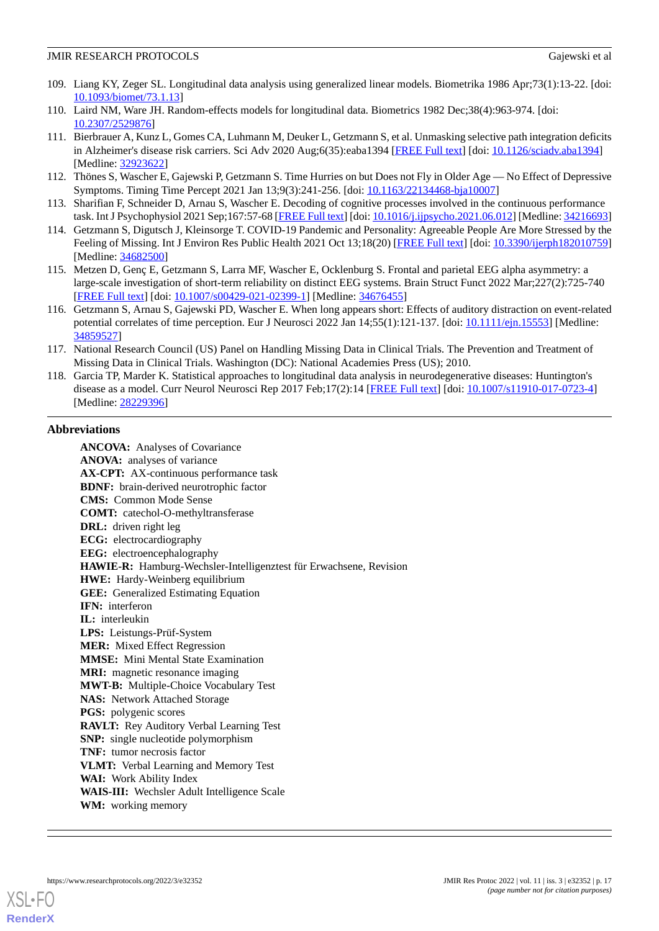- <span id="page-16-0"></span>109. Liang KY, Zeger SL. Longitudinal data analysis using generalized linear models. Biometrika 1986 Apr;73(1):13-22. [doi: [10.1093/biomet/73.1.13](http://dx.doi.org/10.1093/biomet/73.1.13)]
- <span id="page-16-2"></span><span id="page-16-1"></span>110. Laird NM, Ware JH. Random-effects models for longitudinal data. Biometrics 1982 Dec;38(4):963-974. [doi: [10.2307/2529876\]](http://dx.doi.org/10.2307/2529876)
- 111. Bierbrauer A, Kunz L, Gomes CA, Luhmann M, Deuker L, Getzmann S, et al. Unmasking selective path integration deficits in Alzheimer's disease risk carriers. Sci Adv 2020 Aug;6(35):eaba1394 [\[FREE Full text\]](http://europepmc.org/abstract/MED/32923622) [doi: [10.1126/sciadv.aba1394](http://dx.doi.org/10.1126/sciadv.aba1394)] [Medline: [32923622](http://www.ncbi.nlm.nih.gov/entrez/query.fcgi?cmd=Retrieve&db=PubMed&list_uids=32923622&dopt=Abstract)]
- 112. Thönes S, Wascher E, Gajewski P, Getzmann S. Time Hurries on but Does not Fly in Older Age No Effect of Depressive Symptoms. Timing Time Percept 2021 Jan 13;9(3):241-256. [doi: [10.1163/22134468-bja10007\]](http://dx.doi.org/10.1163/22134468-bja10007)
- 113. Sharifian F, Schneider D, Arnau S, Wascher E. Decoding of cognitive processes involved in the continuous performance task. Int J Psychophysiol 2021 Sep;167:57-68 [[FREE Full text\]](https://linkinghub.elsevier.com/retrieve/pii/S0167-8760(21)00202-6) [doi: [10.1016/j.ijpsycho.2021.06.012](http://dx.doi.org/10.1016/j.ijpsycho.2021.06.012)] [Medline: [34216693\]](http://www.ncbi.nlm.nih.gov/entrez/query.fcgi?cmd=Retrieve&db=PubMed&list_uids=34216693&dopt=Abstract)
- 114. Getzmann S, Digutsch J, Kleinsorge T. COVID-19 Pandemic and Personality: Agreeable People Are More Stressed by the Feeling of Missing. Int J Environ Res Public Health 2021 Oct 13;18(20) [[FREE Full text\]](https://www.mdpi.com/resolver?pii=ijerph182010759) [doi: [10.3390/ijerph182010759](http://dx.doi.org/10.3390/ijerph182010759)] [Medline: [34682500](http://www.ncbi.nlm.nih.gov/entrez/query.fcgi?cmd=Retrieve&db=PubMed&list_uids=34682500&dopt=Abstract)]
- <span id="page-16-3"></span>115. Metzen D, Genç E, Getzmann S, Larra MF, Wascher E, Ocklenburg S. Frontal and parietal EEG alpha asymmetry: a large-scale investigation of short-term reliability on distinct EEG systems. Brain Struct Funct 2022 Mar;227(2):725-740 [[FREE Full text](http://europepmc.org/abstract/MED/34676455)] [doi: [10.1007/s00429-021-02399-1\]](http://dx.doi.org/10.1007/s00429-021-02399-1) [Medline: [34676455](http://www.ncbi.nlm.nih.gov/entrez/query.fcgi?cmd=Retrieve&db=PubMed&list_uids=34676455&dopt=Abstract)]
- <span id="page-16-4"></span>116. Getzmann S, Arnau S, Gajewski PD, Wascher E. When long appears short: Effects of auditory distraction on event-related potential correlates of time perception. Eur J Neurosci 2022 Jan 14;55(1):121-137. [doi: [10.1111/ejn.15553\]](http://dx.doi.org/10.1111/ejn.15553) [Medline: [34859527](http://www.ncbi.nlm.nih.gov/entrez/query.fcgi?cmd=Retrieve&db=PubMed&list_uids=34859527&dopt=Abstract)]
- <span id="page-16-5"></span>117. National Research Council (US) Panel on Handling Missing Data in Clinical Trials. The Prevention and Treatment of Missing Data in Clinical Trials. Washington (DC): National Academies Press (US); 2010.
- 118. Garcia TP, Marder K. Statistical approaches to longitudinal data analysis in neurodegenerative diseases: Huntington's disease as a model. Curr Neurol Neurosci Rep 2017 Feb;17(2):14 [\[FREE Full text\]](http://europepmc.org/abstract/MED/28229396) [doi: [10.1007/s11910-017-0723-4](http://dx.doi.org/10.1007/s11910-017-0723-4)] [Medline: [28229396](http://www.ncbi.nlm.nih.gov/entrez/query.fcgi?cmd=Retrieve&db=PubMed&list_uids=28229396&dopt=Abstract)]

## **Abbreviations**

**ANCOVA:** Analyses of Covariance **ANOVA:** analyses of variance **AX-CPT:** AX-continuous performance task **BDNF:** brain-derived neurotrophic factor **CMS:** Common Mode Sense **COMT:** catechol-O-methyltransferase **DRL:** driven right leg **ECG:** electrocardiography **EEG:** electroencephalography **HAWIE-R:** Hamburg-Wechsler-Intelligenztest für Erwachsene, Revision **HWE:** Hardy-Weinberg equilibrium **GEE:** Generalized Estimating Equation IFN: interferon **IL:** interleukin **LPS:** Leistungs-Prüf-System **MER:** Mixed Effect Regression **MMSE:** Mini Mental State Examination **MRI:** magnetic resonance imaging **MWT-B:** Multiple-Choice Vocabulary Test **NAS:** Network Attached Storage **PGS:** polygenic scores **RAVLT:** Rey Auditory Verbal Learning Test **SNP:** single nucleotide polymorphism **TNF:** tumor necrosis factor **VLMT:** Verbal Learning and Memory Test **WAI:** Work Ability Index **WAIS-III:** Wechsler Adult Intelligence Scale **WM:** working memory